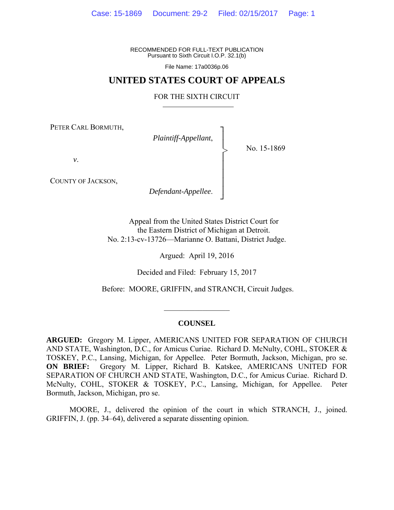RECOMMENDED FOR FULL-TEXT PUBLICATION Pursuant to Sixth Circuit I.O.P. 32.1(b)

File Name: 17a0036p.06

## **UNITED STATES COURT OF APPEALS**

#### FOR THE SIXTH CIRCUIT

┐ │ │ │ │ │ │ │ ┘

>

PETER CARL BORMUTH,

*Plaintiff-Appellant*,

No. 15-1869

*v*.

COUNTY OF JACKSON,

*Defendant-Appellee*.

Appeal from the United States District Court for the Eastern District of Michigan at Detroit. No. 2:13-cv-13726—Marianne O. Battani, District Judge.

Argued: April 19, 2016

Decided and Filed: February 15, 2017

Before: MOORE, GRIFFIN, and STRANCH, Circuit Judges.

#### **COUNSEL**

 $\frac{1}{2}$ 

**ARGUED:** Gregory M. Lipper, AMERICANS UNITED FOR SEPARATION OF CHURCH AND STATE, Washington, D.C., for Amicus Curiae. Richard D. McNulty, COHL, STOKER & TOSKEY, P.C., Lansing, Michigan, for Appellee. Peter Bormuth, Jackson, Michigan, pro se. **ON BRIEF:** Gregory M. Lipper, Richard B. Katskee, AMERICANS UNITED FOR SEPARATION OF CHURCH AND STATE, Washington, D.C., for Amicus Curiae. Richard D. McNulty, COHL, STOKER & TOSKEY, P.C., Lansing, Michigan, for Appellee. Peter Bormuth, Jackson, Michigan, pro se.

 MOORE, J., delivered the opinion of the court in which STRANCH, J., joined. GRIFFIN, J. (pp. 34–64), delivered a separate dissenting opinion.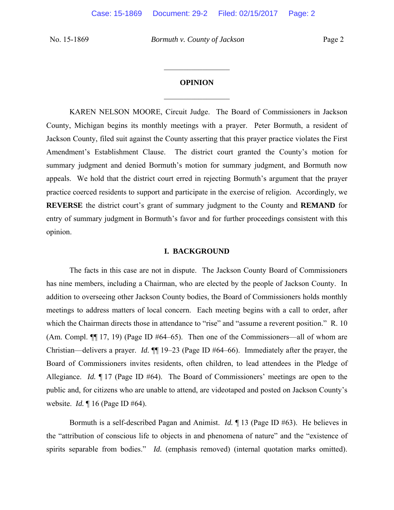### **OPINION**

 $\frac{1}{2}$ 

 $\frac{1}{2}$ 

 KAREN NELSON MOORE, Circuit Judge. The Board of Commissioners in Jackson County, Michigan begins its monthly meetings with a prayer. Peter Bormuth, a resident of Jackson County, filed suit against the County asserting that this prayer practice violates the First Amendment's Establishment Clause. The district court granted the County's motion for summary judgment and denied Bormuth's motion for summary judgment, and Bormuth now appeals. We hold that the district court erred in rejecting Bormuth's argument that the prayer practice coerced residents to support and participate in the exercise of religion. Accordingly, we **REVERSE** the district court's grant of summary judgment to the County and **REMAND** for entry of summary judgment in Bormuth's favor and for further proceedings consistent with this opinion.

#### **I. BACKGROUND**

The facts in this case are not in dispute. The Jackson County Board of Commissioners has nine members, including a Chairman, who are elected by the people of Jackson County. In addition to overseeing other Jackson County bodies, the Board of Commissioners holds monthly meetings to address matters of local concern. Each meeting begins with a call to order, after which the Chairman directs those in attendance to "rise" and "assume a reverent position." R. 10 (Am. Compl.  $\P$ [17, 19) (Page ID #64–65). Then one of the Commissioners—all of whom are Christian—delivers a prayer. *Id.*  $\P\P$  19–23 (Page ID #64–66). Immediately after the prayer, the Board of Commissioners invites residents, often children, to lead attendees in the Pledge of Allegiance. *Id.* ¶ 17 (Page ID #64). The Board of Commissioners' meetings are open to the public and, for citizens who are unable to attend, are videotaped and posted on Jackson County's website. *Id.* ¶ 16 (Page ID #64).

Bormuth is a self-described Pagan and Animist. *Id.* ¶ 13 (Page ID #63). He believes in the "attribution of conscious life to objects in and phenomena of nature" and the "existence of spirits separable from bodies." *Id.* (emphasis removed) (internal quotation marks omitted).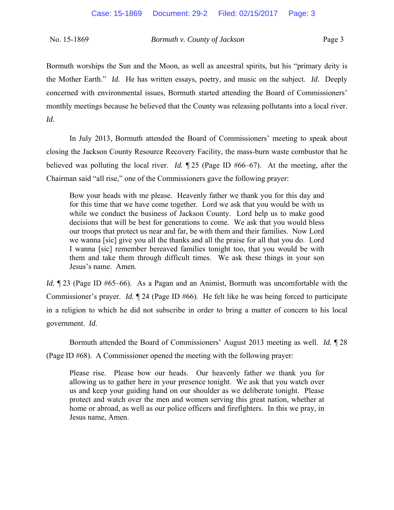Bormuth worships the Sun and the Moon, as well as ancestral spirits, but his "primary deity is the Mother Earth." *Id.* He has written essays, poetry, and music on the subject. *Id.* Deeply concerned with environmental issues, Bormuth started attending the Board of Commissioners' monthly meetings because he believed that the County was releasing pollutants into a local river. *Id.*

In July 2013, Bormuth attended the Board of Commissioners' meeting to speak about closing the Jackson County Resource Recovery Facility, the mass-burn waste combustor that he believed was polluting the local river. *Id.*  $\sqrt{25}$  (Page ID #66–67). At the meeting, after the Chairman said "all rise," one of the Commissioners gave the following prayer:

Bow your heads with me please. Heavenly father we thank you for this day and for this time that we have come together. Lord we ask that you would be with us while we conduct the business of Jackson County. Lord help us to make good decisions that will be best for generations to come. We ask that you would bless our troops that protect us near and far, be with them and their families. Now Lord we wanna [sic] give you all the thanks and all the praise for all that you do. Lord I wanna [sic] remember bereaved families tonight too, that you would be with them and take them through difficult times. We ask these things in your son Jesus's name. Amen.

*Id.*  $\sqrt{23}$  (Page ID #65–66). As a Pagan and an Animist, Bormuth was uncomfortable with the Commissioner's prayer. *Id.* ¶ 24 (Page ID #66). He felt like he was being forced to participate in a religion to which he did not subscribe in order to bring a matter of concern to his local government. *Id.*

Bormuth attended the Board of Commissioners' August 2013 meeting as well. *Id.* ¶ 28 (Page ID #68). A Commissioner opened the meeting with the following prayer:

Please rise. Please bow our heads. Our heavenly father we thank you for allowing us to gather here in your presence tonight. We ask that you watch over us and keep your guiding hand on our shoulder as we deliberate tonight. Please protect and watch over the men and women serving this great nation, whether at home or abroad, as well as our police officers and firefighters. In this we pray, in Jesus name, Amen.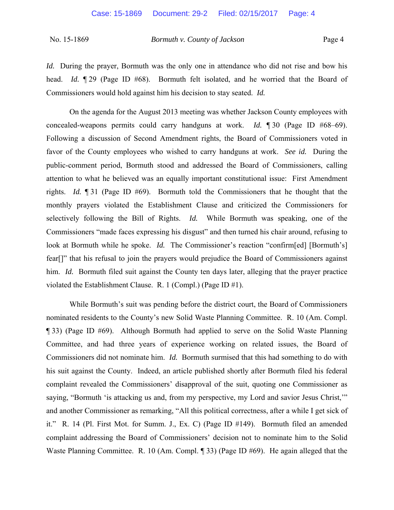*Id.* During the prayer, Bormuth was the only one in attendance who did not rise and bow his head. *Id.* 129 (Page ID #68). Bormuth felt isolated, and he worried that the Board of Commissioners would hold against him his decision to stay seated. *Id.* 

On the agenda for the August 2013 meeting was whether Jackson County employees with concealed-weapons permits could carry handguns at work. *Id.*  $\parallel$  30 (Page ID #68–69). Following a discussion of Second Amendment rights, the Board of Commissioners voted in favor of the County employees who wished to carry handguns at work. *See id.* During the public-comment period, Bormuth stood and addressed the Board of Commissioners, calling attention to what he believed was an equally important constitutional issue: First Amendment rights. *Id.* ¶ 31 (Page ID #69). Bormuth told the Commissioners that he thought that the monthly prayers violated the Establishment Clause and criticized the Commissioners for selectively following the Bill of Rights. *Id.* While Bormuth was speaking, one of the Commissioners "made faces expressing his disgust" and then turned his chair around, refusing to look at Bormuth while he spoke. *Id.* The Commissioner's reaction "confirm[ed] [Bormuth's] fear[]" that his refusal to join the prayers would prejudice the Board of Commissioners against him. *Id.* Bormuth filed suit against the County ten days later, alleging that the prayer practice violated the Establishment Clause. R. 1 (Compl.) (Page ID #1).

While Bormuth's suit was pending before the district court, the Board of Commissioners nominated residents to the County's new Solid Waste Planning Committee. R. 10 (Am. Compl. ¶ 33) (Page ID #69). Although Bormuth had applied to serve on the Solid Waste Planning Committee, and had three years of experience working on related issues, the Board of Commissioners did not nominate him. *Id.* Bormuth surmised that this had something to do with his suit against the County. Indeed, an article published shortly after Bormuth filed his federal complaint revealed the Commissioners' disapproval of the suit, quoting one Commissioner as saying, "Bormuth 'is attacking us and, from my perspective, my Lord and savior Jesus Christ," and another Commissioner as remarking, "All this political correctness, after a while I get sick of it." R. 14 (Pl. First Mot. for Summ. J., Ex. C) (Page ID #149). Bormuth filed an amended complaint addressing the Board of Commissioners' decision not to nominate him to the Solid Waste Planning Committee. R. 10 (Am. Compl. ¶ 33) (Page ID #69). He again alleged that the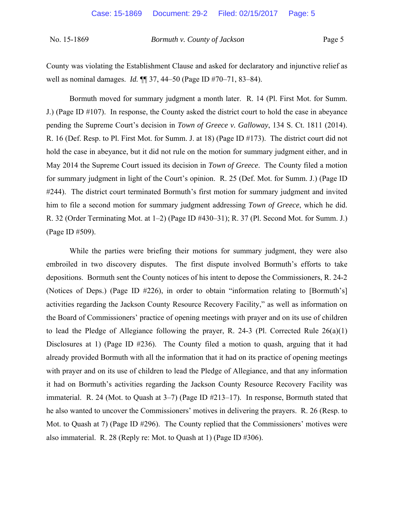County was violating the Establishment Clause and asked for declaratory and injunctive relief as well as nominal damages. *Id.*  $\P$  37, 44–50 (Page ID #70–71, 83–84).

Bormuth moved for summary judgment a month later. R. 14 (Pl. First Mot. for Summ. J.) (Page ID #107). In response, the County asked the district court to hold the case in abeyance pending the Supreme Court's decision in *Town of Greece v. Galloway*, 134 S. Ct. 1811 (2014). R. 16 (Def. Resp. to Pl. First Mot. for Summ. J. at 18) (Page ID #173). The district court did not hold the case in abeyance, but it did not rule on the motion for summary judgment either, and in May 2014 the Supreme Court issued its decision in *Town of Greece*. The County filed a motion for summary judgment in light of the Court's opinion. R. 25 (Def. Mot. for Summ. J.) (Page ID #244). The district court terminated Bormuth's first motion for summary judgment and invited him to file a second motion for summary judgment addressing *Town of Greece*, which he did. R. 32 (Order Terminating Mot. at  $1-2$ ) (Page ID #430-31); R. 37 (Pl. Second Mot. for Summ. J.) (Page ID #509).

While the parties were briefing their motions for summary judgment, they were also embroiled in two discovery disputes. The first dispute involved Bormuth's efforts to take depositions. Bormuth sent the County notices of his intent to depose the Commissioners, R. 24-2 (Notices of Deps.) (Page ID #226), in order to obtain "information relating to [Bormuth's] activities regarding the Jackson County Resource Recovery Facility," as well as information on the Board of Commissioners' practice of opening meetings with prayer and on its use of children to lead the Pledge of Allegiance following the prayer, R. 24-3 (Pl. Corrected Rule  $26(a)(1)$ ) Disclosures at 1) (Page ID #236). The County filed a motion to quash, arguing that it had already provided Bormuth with all the information that it had on its practice of opening meetings with prayer and on its use of children to lead the Pledge of Allegiance, and that any information it had on Bormuth's activities regarding the Jackson County Resource Recovery Facility was immaterial. R. 24 (Mot. to Quash at  $3-7$ ) (Page ID  $\#213-17$ ). In response, Bormuth stated that he also wanted to uncover the Commissioners' motives in delivering the prayers. R. 26 (Resp. to Mot. to Quash at 7) (Page ID #296). The County replied that the Commissioners' motives were also immaterial. R. 28 (Reply re: Mot. to Quash at 1) (Page ID #306).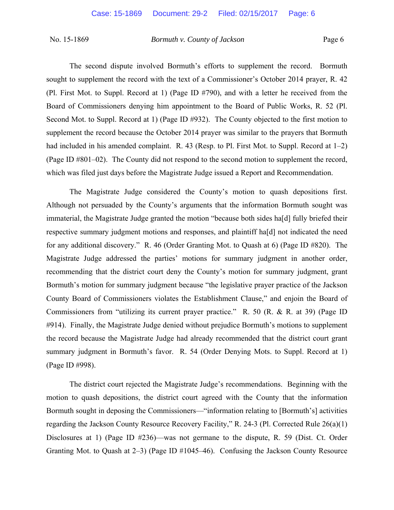The second dispute involved Bormuth's efforts to supplement the record. Bormuth sought to supplement the record with the text of a Commissioner's October 2014 prayer, R. 42 (Pl. First Mot. to Suppl. Record at 1) (Page ID #790), and with a letter he received from the Board of Commissioners denying him appointment to the Board of Public Works, R. 52 (Pl. Second Mot. to Suppl. Record at 1) (Page ID #932). The County objected to the first motion to supplement the record because the October 2014 prayer was similar to the prayers that Bormuth had included in his amended complaint. R. 43 (Resp. to Pl. First Mot. to Suppl. Record at  $1-2$ ) (Page ID #801–02). The County did not respond to the second motion to supplement the record, which was filed just days before the Magistrate Judge issued a Report and Recommendation.

 The Magistrate Judge considered the County's motion to quash depositions first. Although not persuaded by the County's arguments that the information Bormuth sought was immaterial, the Magistrate Judge granted the motion "because both sides ha[d] fully briefed their respective summary judgment motions and responses, and plaintiff ha[d] not indicated the need for any additional discovery." R. 46 (Order Granting Mot. to Quash at 6) (Page ID #820). The Magistrate Judge addressed the parties' motions for summary judgment in another order, recommending that the district court deny the County's motion for summary judgment, grant Bormuth's motion for summary judgment because "the legislative prayer practice of the Jackson County Board of Commissioners violates the Establishment Clause," and enjoin the Board of Commissioners from "utilizing its current prayer practice." R. 50 (R. & R. at 39) (Page ID #914). Finally, the Magistrate Judge denied without prejudice Bormuth's motions to supplement the record because the Magistrate Judge had already recommended that the district court grant summary judgment in Bormuth's favor. R. 54 (Order Denying Mots. to Suppl. Record at 1) (Page ID #998).

The district court rejected the Magistrate Judge's recommendations. Beginning with the motion to quash depositions, the district court agreed with the County that the information Bormuth sought in deposing the Commissioners—"information relating to [Bormuth's] activities regarding the Jackson County Resource Recovery Facility," R. 24-3 (Pl. Corrected Rule 26(a)(1) Disclosures at 1) (Page ID #236)—was not germane to the dispute, R. 59 (Dist. Ct. Order Granting Mot. to Quash at  $2-3$ ) (Page ID #1045-46). Confusing the Jackson County Resource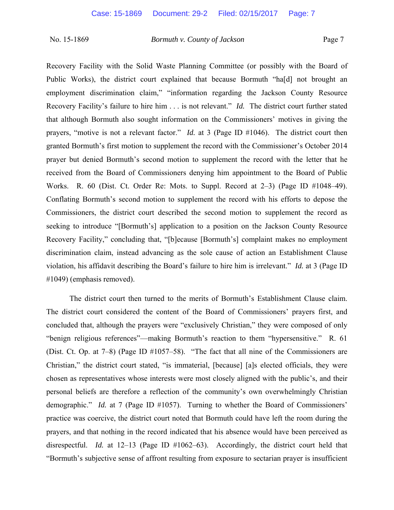Recovery Facility with the Solid Waste Planning Committee (or possibly with the Board of Public Works), the district court explained that because Bormuth "ha[d] not brought an employment discrimination claim," "information regarding the Jackson County Resource Recovery Facility's failure to hire him . . . is not relevant." *Id.* The district court further stated that although Bormuth also sought information on the Commissioners' motives in giving the prayers, "motive is not a relevant factor." *Id.* at 3 (Page ID #1046). The district court then granted Bormuth's first motion to supplement the record with the Commissioner's October 2014 prayer but denied Bormuth's second motion to supplement the record with the letter that he received from the Board of Commissioners denying him appointment to the Board of Public Works. R. 60 (Dist. Ct. Order Re: Mots. to Suppl. Record at 2–3) (Page ID #1048–49). Conflating Bormuth's second motion to supplement the record with his efforts to depose the Commissioners, the district court described the second motion to supplement the record as seeking to introduce "[Bormuth's] application to a position on the Jackson County Resource Recovery Facility," concluding that, "[b]ecause [Bormuth's] complaint makes no employment discrimination claim, instead advancing as the sole cause of action an Establishment Clause violation, his affidavit describing the Board's failure to hire him is irrelevant." *Id.* at 3 (Page ID #1049) (emphasis removed).

The district court then turned to the merits of Bormuth's Establishment Clause claim. The district court considered the content of the Board of Commissioners' prayers first, and concluded that, although the prayers were "exclusively Christian," they were composed of only "benign religious references"—making Bormuth's reaction to them "hypersensitive." R. 61 (Dist. Ct. Op. at  $7-8$ ) (Page ID  $\#1057-58$ ). "The fact that all nine of the Commissioners are Christian," the district court stated, "is immaterial, [because] [a]s elected officials, they were chosen as representatives whose interests were most closely aligned with the public's, and their personal beliefs are therefore a reflection of the community's own overwhelmingly Christian demographic." *Id.* at 7 (Page ID #1057). Turning to whether the Board of Commissioners' practice was coercive, the district court noted that Bormuth could have left the room during the prayers, and that nothing in the record indicated that his absence would have been perceived as disrespectful. *Id.* at 12–13 (Page ID #1062–63). Accordingly, the district court held that "Bormuth's subjective sense of affront resulting from exposure to sectarian prayer is insufficient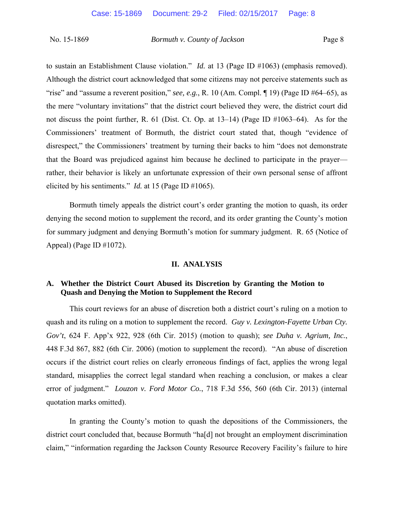to sustain an Establishment Clause violation." *Id.* at 13 (Page ID #1063) (emphasis removed). Although the district court acknowledged that some citizens may not perceive statements such as "rise" and "assume a reverent position," *see, e.g.*, R. 10 (Am. Compl.  $\P$  19) (Page ID #64–65), as the mere "voluntary invitations" that the district court believed they were, the district court did not discuss the point further, R. 61 (Dist. Ct. Op. at  $13-14$ ) (Page ID  $\#1063-64$ ). As for the Commissioners' treatment of Bormuth, the district court stated that, though "evidence of disrespect," the Commissioners' treatment by turning their backs to him "does not demonstrate that the Board was prejudiced against him because he declined to participate in the prayer rather, their behavior is likely an unfortunate expression of their own personal sense of affront elicited by his sentiments." *Id.* at 15 (Page ID #1065).

Bormuth timely appeals the district court's order granting the motion to quash, its order denying the second motion to supplement the record, and its order granting the County's motion for summary judgment and denying Bormuth's motion for summary judgment. R. 65 (Notice of Appeal) (Page ID #1072).

### **II. ANALYSIS**

# **A. Whether the District Court Abused its Discretion by Granting the Motion to Quash and Denying the Motion to Supplement the Record**

This court reviews for an abuse of discretion both a district court's ruling on a motion to quash and its ruling on a motion to supplement the record. *Guy v. Lexington-Fayette Urban Cty. Gov't*, 624 F. App'x 922, 928 (6th Cir. 2015) (motion to quash); *see Duha v. Agrium, Inc.*, 448 F.3d 867, 882 (6th Cir. 2006) (motion to supplement the record). "An abuse of discretion occurs if the district court relies on clearly erroneous findings of fact, applies the wrong legal standard, misapplies the correct legal standard when reaching a conclusion, or makes a clear error of judgment." *Louzon v. Ford Motor Co.*, 718 F.3d 556, 560 (6th Cir. 2013) (internal quotation marks omitted).

In granting the County's motion to quash the depositions of the Commissioners, the district court concluded that, because Bormuth "ha[d] not brought an employment discrimination claim," "information regarding the Jackson County Resource Recovery Facility's failure to hire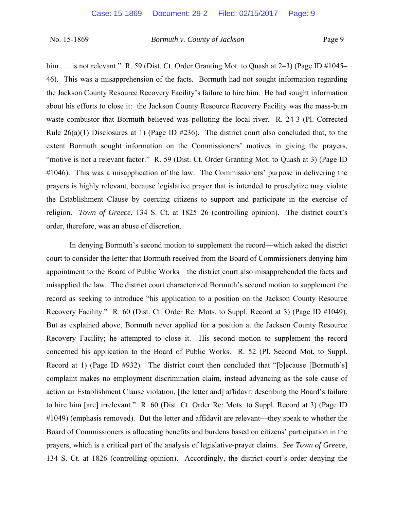him . . . is not relevant." R. 59 (Dist. Ct. Order Granting Mot. to Quash at  $2-3$ ) (Page ID  $\#1045-$ 46). This was a misapprehension of the facts. Bormuth had not sought information regarding the Jackson County Resource Recovery Facility's failure to hire him. He had sought information about his efforts to close it: the Jackson County Resource Recovery Facility was the mass-burn waste combustor that Bormuth believed was polluting the local river. R. 24-3 (Pl. Corrected Rule  $26(a)(1)$  Disclosures at 1) (Page ID #236). The district court also concluded that, to the extent Bormuth sought information on the Commissioners' motives in giving the prayers, "motive is not a relevant factor." R. 59 (Dist. Ct. Order Granting Mot. to Quash at 3) (Page ID #1046). This was a misapplication of the law. The Commissioners' purpose in delivering the prayers is highly relevant, because legislative prayer that is intended to proselytize may violate the Establishment Clause by coercing citizens to support and participate in the exercise of religion. *Town of Greece*, 134 S. Ct. at 1825–26 (controlling opinion). The district court's order, therefore, was an abuse of discretion.

In denying Bormuth's second motion to supplement the record—which asked the district court to consider the letter that Bormuth received from the Board of Commissioners denying him appointment to the Board of Public Works—the district court also misapprehended the facts and misapplied the law. The district court characterized Bormuth's second motion to supplement the record as seeking to introduce "his application to a position on the Jackson County Resource Recovery Facility." R. 60 (Dist. Ct. Order Re: Mots. to Suppl. Record at 3) (Page ID #1049). But as explained above, Bormuth never applied for a position at the Jackson County Resource Recovery Facility; he attempted to close it. His second motion to supplement the record concerned his application to the Board of Public Works. R. 52 (Pl. Second Mot. to Suppl. Record at 1) (Page ID #932). The district court then concluded that "[b]ecause [Bormuth's] complaint makes no employment discrimination claim, instead advancing as the sole cause of action an Establishment Clause violation, [the letter and] affidavit describing the Board's failure to hire him [are] irrelevant." R. 60 (Dist. Ct. Order Re: Mots. to Suppl. Record at 3) (Page ID #1049) (emphasis removed). But the letter and affidavit are relevant—they speak to whether the Board of Commissioners is allocating benefits and burdens based on citizens' participation in the prayers, which is a critical part of the analysis of legislative-prayer claims. *See Town of Greece*, 134 S. Ct. at 1826 (controlling opinion). Accordingly, the district court's order denying the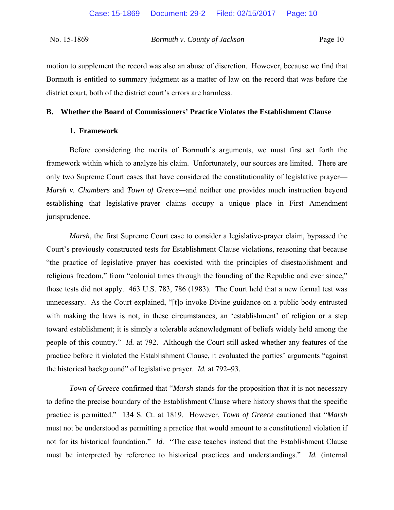motion to supplement the record was also an abuse of discretion. However, because we find that Bormuth is entitled to summary judgment as a matter of law on the record that was before the district court, both of the district court's errors are harmless.

# **B. Whether the Board of Commissioners' Practice Violates the Establishment Clause**

### **1. Framework**

 Before considering the merits of Bormuth's arguments, we must first set forth the framework within which to analyze his claim. Unfortunately, our sources are limited. There are only two Supreme Court cases that have considered the constitutionality of legislative prayer— *Marsh v. Chambers* and *Town of Greece—*and neither one provides much instruction beyond establishing that legislative-prayer claims occupy a unique place in First Amendment jurisprudence.

*Marsh*, the first Supreme Court case to consider a legislative-prayer claim, bypassed the Court's previously constructed tests for Establishment Clause violations, reasoning that because "the practice of legislative prayer has coexisted with the principles of disestablishment and religious freedom," from "colonial times through the founding of the Republic and ever since," those tests did not apply. 463 U.S. 783, 786 (1983). The Court held that a new formal test was unnecessary. As the Court explained, "[t]o invoke Divine guidance on a public body entrusted with making the laws is not, in these circumstances, an 'establishment' of religion or a step toward establishment; it is simply a tolerable acknowledgment of beliefs widely held among the people of this country." *Id.* at 792. Although the Court still asked whether any features of the practice before it violated the Establishment Clause, it evaluated the parties' arguments "against the historical background" of legislative prayer. *Id.* at 792–93.

*Town of Greece* confirmed that "*Marsh* stands for the proposition that it is not necessary to define the precise boundary of the Establishment Clause where history shows that the specific practice is permitted." 134 S. Ct. at 1819. However, *Town of Greece* cautioned that "*Marsh* must not be understood as permitting a practice that would amount to a constitutional violation if not for its historical foundation." *Id.* "The case teaches instead that the Establishment Clause must be interpreted by reference to historical practices and understandings." *Id.* (internal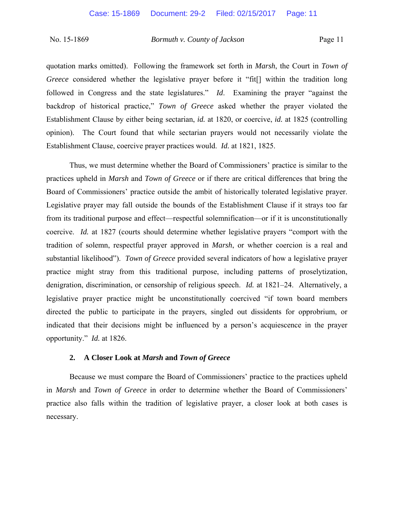quotation marks omitted). Following the framework set forth in *Marsh*, the Court in *Town of Greece* considered whether the legislative prayer before it "fit<sup>[]</sup> within the tradition long followed in Congress and the state legislatures." *Id*. Examining the prayer "against the backdrop of historical practice," *Town of Greece* asked whether the prayer violated the Establishment Clause by either being sectarian, *id.* at 1820, or coercive, *id.* at 1825 (controlling opinion). The Court found that while sectarian prayers would not necessarily violate the Establishment Clause, coercive prayer practices would. *Id.* at 1821, 1825.

Thus, we must determine whether the Board of Commissioners' practice is similar to the practices upheld in *Marsh* and *Town of Greece* or if there are critical differences that bring the Board of Commissioners' practice outside the ambit of historically tolerated legislative prayer. Legislative prayer may fall outside the bounds of the Establishment Clause if it strays too far from its traditional purpose and effect—respectful solemnification—or if it is unconstitutionally coercive. *Id.* at 1827 (courts should determine whether legislative prayers "comport with the tradition of solemn, respectful prayer approved in *Marsh*, or whether coercion is a real and substantial likelihood"). *Town of Greece* provided several indicators of how a legislative prayer practice might stray from this traditional purpose, including patterns of proselytization, denigration, discrimination, or censorship of religious speech. *Id.* at 1821–24. Alternatively, a legislative prayer practice might be unconstitutionally coercived "if town board members directed the public to participate in the prayers, singled out dissidents for opprobrium, or indicated that their decisions might be influenced by a person's acquiescence in the prayer opportunity." *Id.* at 1826.

## **2. A Closer Look at** *Marsh* **and** *Town of Greece*

Because we must compare the Board of Commissioners' practice to the practices upheld in *Marsh* and *Town of Greece* in order to determine whether the Board of Commissioners' practice also falls within the tradition of legislative prayer, a closer look at both cases is necessary.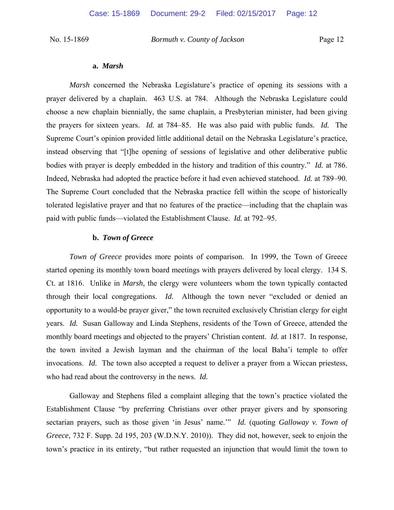#### **a.** *Marsh*

*Marsh* concerned the Nebraska Legislature's practice of opening its sessions with a prayer delivered by a chaplain. 463 U.S. at 784. Although the Nebraska Legislature could choose a new chaplain biennially, the same chaplain, a Presbyterian minister, had been giving the prayers for sixteen years. *Id.* at 784‒85. He was also paid with public funds. *Id.* The Supreme Court's opinion provided little additional detail on the Nebraska Legislature's practice, instead observing that "[t]he opening of sessions of legislative and other deliberative public bodies with prayer is deeply embedded in the history and tradition of this country." *Id.* at 786. Indeed, Nebraska had adopted the practice before it had even achieved statehood. *Id.* at 789–90. The Supreme Court concluded that the Nebraska practice fell within the scope of historically tolerated legislative prayer and that no features of the practice—including that the chaplain was paid with public funds—violated the Establishment Clause. *Id.* at 792–95.

## **b.** *Town of Greece*

*Town of Greece* provides more points of comparison. In 1999, the Town of Greece started opening its monthly town board meetings with prayers delivered by local clergy. 134 S. Ct. at 1816. Unlike in *Marsh*, the clergy were volunteers whom the town typically contacted through their local congregations. *Id.* Although the town never "excluded or denied an opportunity to a would-be prayer giver," the town recruited exclusively Christian clergy for eight years. *Id.* Susan Galloway and Linda Stephens, residents of the Town of Greece, attended the monthly board meetings and objected to the prayers' Christian content. *Id.* at 1817. In response, the town invited a Jewish layman and the chairman of the local Baha'i temple to offer invocations. *Id.* The town also accepted a request to deliver a prayer from a Wiccan priestess, who had read about the controversy in the news. *Id.* 

Galloway and Stephens filed a complaint alleging that the town's practice violated the Establishment Clause "by preferring Christians over other prayer givers and by sponsoring sectarian prayers, such as those given 'in Jesus' name.'" *Id.* (quoting *Galloway v. Town of Greece*, 732 F. Supp. 2d 195, 203 (W.D.N.Y. 2010)). They did not, however, seek to enjoin the town's practice in its entirety, "but rather requested an injunction that would limit the town to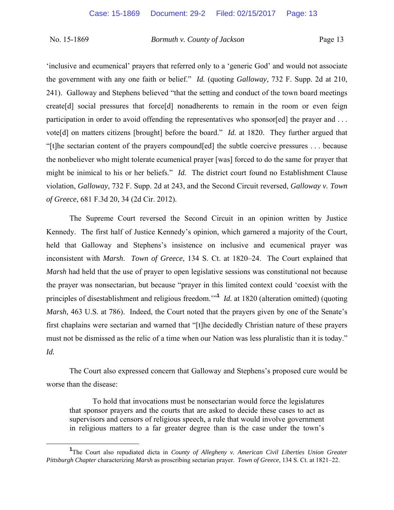'inclusive and ecumenical' prayers that referred only to a 'generic God' and would not associate the government with any one faith or belief." *Id.* (quoting *Galloway*, 732 F. Supp. 2d at 210, 241). Galloway and Stephens believed "that the setting and conduct of the town board meetings create[d] social pressures that force[d] nonadherents to remain in the room or even feign participation in order to avoid offending the representatives who sponsor[ed] the prayer and ... vote[d] on matters citizens [brought] before the board." *Id.* at 1820. They further argued that "[t]he sectarian content of the prayers compound[ed] the subtle coercive pressures . . . because the nonbeliever who might tolerate ecumenical prayer [was] forced to do the same for prayer that might be inimical to his or her beliefs." *Id.* The district court found no Establishment Clause violation, *Galloway*, 732 F. Supp. 2d at 243, and the Second Circuit reversed, *Galloway v. Town of Greece*, 681 F.3d 20, 34 (2d Cir. 2012).

The Supreme Court reversed the Second Circuit in an opinion written by Justice Kennedy. The first half of Justice Kennedy's opinion, which garnered a majority of the Court, held that Galloway and Stephens's insistence on inclusive and ecumenical prayer was inconsistent with *Marsh. Town of Greece*, 134 S. Ct. at 1820–24. The Court explained that *Marsh* had held that the use of prayer to open legislative sessions was constitutional not because the prayer was nonsectarian, but because "prayer in this limited context could 'coexist with the principles of disestablishment and religious freedom.'"**<sup>1</sup>** *Id.* at 1820 (alteration omitted) (quoting *Marsh*, 463 U.S. at 786). Indeed, the Court noted that the prayers given by one of the Senate's first chaplains were sectarian and warned that "[t]he decidedly Christian nature of these prayers must not be dismissed as the relic of a time when our Nation was less pluralistic than it is today." *Id.* 

The Court also expressed concern that Galloway and Stephens's proposed cure would be worse than the disease:

To hold that invocations must be nonsectarian would force the legislatures that sponsor prayers and the courts that are asked to decide these cases to act as supervisors and censors of religious speech, a rule that would involve government in religious matters to a far greater degree than is the case under the town's

<sup>&</sup>lt;u>1</u> The Court also repudiated dicta in *County of Allegheny v. American Civil Liberties Union Greater Pittsburgh Chapter characterizing Marsh as proscribing sectarian prayer. <i>Town of Greece*, 134 S. Ct. at 1821–22.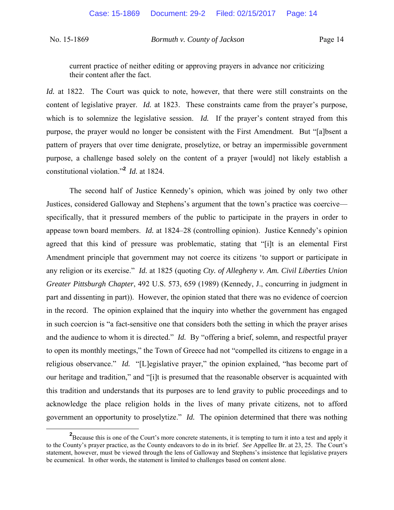current practice of neither editing or approving prayers in advance nor criticizing their content after the fact.

*Id.* at 1822. The Court was quick to note, however, that there were still constraints on the content of legislative prayer. *Id.* at 1823. These constraints came from the prayer's purpose, which is to solemnize the legislative session. *Id.* If the prayer's content strayed from this purpose, the prayer would no longer be consistent with the First Amendment. But "[a]bsent a pattern of prayers that over time denigrate, proselytize, or betray an impermissible government purpose, a challenge based solely on the content of a prayer [would] not likely establish a constitutional violation."**<sup>2</sup>***Id.* at 1824.

The second half of Justice Kennedy's opinion, which was joined by only two other Justices, considered Galloway and Stephens's argument that the town's practice was coercive specifically, that it pressured members of the public to participate in the prayers in order to appease town board members. *Id.* at 1824–28 (controlling opinion). Justice Kennedy's opinion agreed that this kind of pressure was problematic, stating that "[i]t is an elemental First Amendment principle that government may not coerce its citizens 'to support or participate in any religion or its exercise." *Id.* at 1825 (quoting *Cty. of Allegheny v. Am. Civil Liberties Union Greater Pittsburgh Chapter*, 492 U.S. 573, 659 (1989) (Kennedy, J., concurring in judgment in part and dissenting in part)). However, the opinion stated that there was no evidence of coercion in the record. The opinion explained that the inquiry into whether the government has engaged in such coercion is "a fact-sensitive one that considers both the setting in which the prayer arises and the audience to whom it is directed." *Id.* By "offering a brief, solemn, and respectful prayer to open its monthly meetings," the Town of Greece had not "compelled its citizens to engage in a religious observance." *Id.* "[L]egislative prayer," the opinion explained, "has become part of our heritage and tradition," and "[i]t is presumed that the reasonable observer is acquainted with this tradition and understands that its purposes are to lend gravity to public proceedings and to acknowledge the place religion holds in the lives of many private citizens, not to afford government an opportunity to proselytize." *Id.* The opinion determined that there was nothing

**<sup>2</sup>** <sup>2</sup>Because this is one of the Court's more concrete statements, it is tempting to turn it into a test and apply it to the County's prayer practice, as the County endeavors to do in its brief. *See* Appellee Br. at 23, 25. The Court's statement, however, must be viewed through the lens of Galloway and Stephens's insistence that legislative prayers be ecumenical. In other words, the statement is limited to challenges based on content alone.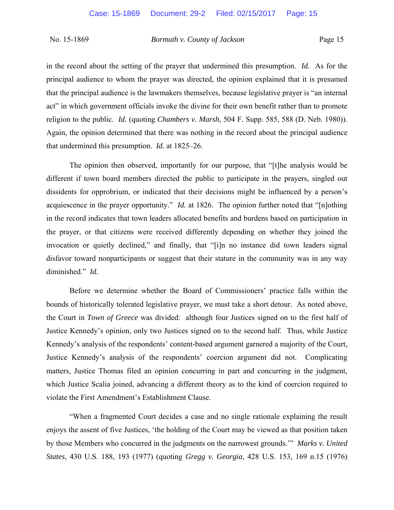in the record about the setting of the prayer that undermined this presumption. *Id.* As for the principal audience to whom the prayer was directed, the opinion explained that it is presumed that the principal audience is the lawmakers themselves, because legislative prayer is "an internal act" in which government officials invoke the divine for their own benefit rather than to promote religion to the public. *Id.* (quoting *Chambers v. Marsh*, 504 F. Supp. 585, 588 (D. Neb. 1980)). Again, the opinion determined that there was nothing in the record about the principal audience that undermined this presumption. *Id.* at 1825–26.

The opinion then observed, importantly for our purpose, that "[t]he analysis would be different if town board members directed the public to participate in the prayers, singled out dissidents for opprobrium, or indicated that their decisions might be influenced by a person's acquiescence in the prayer opportunity." *Id.* at 1826. The opinion further noted that "[n]othing in the record indicates that town leaders allocated benefits and burdens based on participation in the prayer, or that citizens were received differently depending on whether they joined the invocation or quietly declined," and finally, that "[i]n no instance did town leaders signal disfavor toward nonparticipants or suggest that their stature in the community was in any way diminished." *Id.*

Before we determine whether the Board of Commissioners' practice falls within the bounds of historically tolerated legislative prayer, we must take a short detour. As noted above, the Court in *Town of Greece* was divided: although four Justices signed on to the first half of Justice Kennedy's opinion, only two Justices signed on to the second half. Thus, while Justice Kennedy's analysis of the respondents' content-based argument garnered a majority of the Court, Justice Kennedy's analysis of the respondents' coercion argument did not. Complicating matters, Justice Thomas filed an opinion concurring in part and concurring in the judgment, which Justice Scalia joined, advancing a different theory as to the kind of coercion required to violate the First Amendment's Establishment Clause.

"When a fragmented Court decides a case and no single rationale explaining the result enjoys the assent of five Justices, 'the holding of the Court may be viewed as that position taken by those Members who concurred in the judgments on the narrowest grounds.'" *Marks v. United States*, 430 U.S. 188, 193 (1977) (quoting *Gregg v. Georgia*, 428 U.S. 153, 169 n.15 (1976)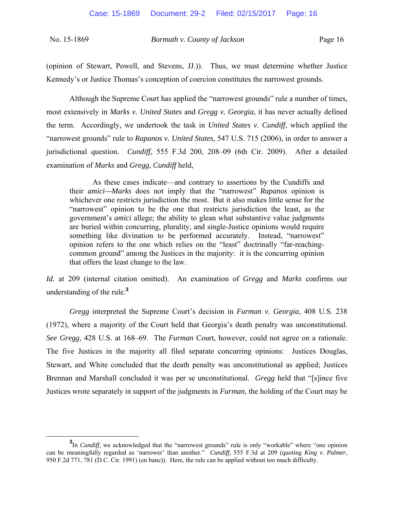(opinion of Stewart, Powell, and Stevens, JJ.)). Thus, we must determine whether Justice Kennedy's or Justice Thomas's conception of coercion constitutes the narrowest grounds.

Although the Supreme Court has applied the "narrowest grounds" rule a number of times, most extensively in *Marks v. United States* and *Gregg v. Georgia*, it has never actually defined the term. Accordingly, we undertook the task in *United States v. Cundiff*, which applied the "narrowest grounds" rule to *Rapanos v. United States*, 547 U.S. 715 (2006), in order to answer a jurisdictional question. *Cundiff*, 555 F.3d 200, 208-09 (6th Cir. 2009). After a detailed examination of *Marks* and *Gregg*, *Cundiff* held,

As these cases indicate—and contrary to assertions by the Cundiffs and their *amici—Marks* does not imply that the "narrowest" *Rapanos* opinion is whichever one restricts jurisdiction the most. But it also makes little sense for the "narrowest" opinion to be the one that restricts jurisdiction the least, as the government's *amici* allege; the ability to glean what substantive value judgments are buried within concurring, plurality, and single-Justice opinions would require something like divination to be performed accurately. Instead, "narrowest" opinion refers to the one which relies on the "least" doctrinally "far-reachingcommon ground" among the Justices in the majority: it is the concurring opinion that offers the least change to the law.

*Id.* at 209 (internal citation omitted). An examination of *Gregg* and *Marks* confirms our understanding of the rule.**<sup>3</sup>**

*Gregg* interpreted the Supreme Court's decision in *Furman v. Georgia*, 408 U.S. 238 (1972), where a majority of the Court held that Georgia's death penalty was unconstitutional. *See Gregg*, 428 U.S. at 168–69. The *Furman* Court, however, could not agree on a rationale. The five Justices in the majority all filed separate concurring opinions: Justices Douglas, Stewart, and White concluded that the death penalty was unconstitutional as applied; Justices Brennan and Marshall concluded it was per se unconstitutional. *Gregg* held that "[s]ince five Justices wrote separately in support of the judgments in *Furman*, the holding of the Court may be

**<sup>3</sup>** <sup>3</sup>In *Cundiff*, we acknowledged that the "narrowest grounds" rule is only "workable" where "one opinion can be meaningfully regarded as 'narrower' than another." *Cundiff*, 555 F.3d at 209 (quoting *King v. Palmer*, 950 F.2d 771, 781 (D.C. Cir. 1991) (en banc)). Here, the rule can be applied without too much difficulty.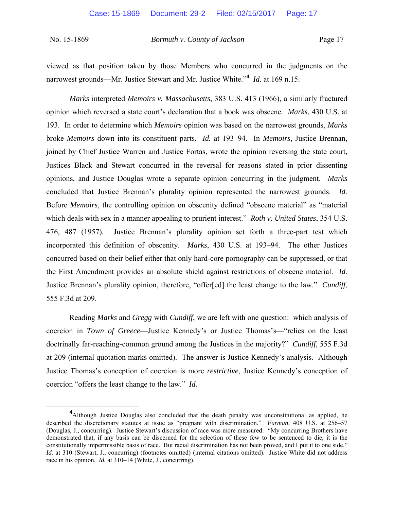viewed as that position taken by those Members who concurred in the judgments on the narrowest grounds—Mr. Justice Stewart and Mr. Justice White."**<sup>4</sup>** *Id.* at 169 n.15.

*Marks* interpreted *Memoirs v. Massachusetts*, 383 U.S. 413 (1966), a similarly fractured opinion which reversed a state court's declaration that a book was obscene. *Marks*, 430 U.S. at 193. In order to determine which *Memoirs* opinion was based on the narrowest grounds, *Marks* broke *Memoirs* down into its constituent parts. *Id.* at 193‒94. In *Memoirs*, Justice Brennan, joined by Chief Justice Warren and Justice Fortas, wrote the opinion reversing the state court, Justices Black and Stewart concurred in the reversal for reasons stated in prior dissenting opinions, and Justice Douglas wrote a separate opinion concurring in the judgment. *Marks* concluded that Justice Brennan's plurality opinion represented the narrowest grounds. *Id.*  Before *Memoirs*, the controlling opinion on obscenity defined "obscene material" as "material which deals with sex in a manner appealing to prurient interest." *Roth v. United States*, 354 U.S. 476, 487 (1957)*.* Justice Brennan's plurality opinion set forth a three-part test which incorporated this definition of obscenity. *Marks*, 430 U.S. at 193–94. The other Justices concurred based on their belief either that only hard-core pornography can be suppressed, or that the First Amendment provides an absolute shield against restrictions of obscene material. *Id.* Justice Brennan's plurality opinion, therefore, "offer[ed] the least change to the law." *Cundiff*, 555 F.3d at 209.

 Reading *Marks* and *Gregg* with *Cundiff*, we are left with one question: which analysis of coercion in *Town of Greece*—Justice Kennedy's or Justice Thomas's—"relies on the least doctrinally far-reaching-common ground among the Justices in the majority?" *Cundiff*, 555 F.3d at 209 (internal quotation marks omitted). The answer is Justice Kennedy's analysis. Although Justice Thomas's conception of coercion is more *restrictive*, Justice Kennedy's conception of coercion "offers the least change to the law." *Id.*

**<sup>4</sup>** <sup>4</sup>Although Justice Douglas also concluded that the death penalty was unconstitutional as applied, he described the discretionary statutes at issue as "pregnant with discrimination." *Furman*, 408 U.S. at 256–57 (Douglas, J., concurring). Justice Stewart's discussion of race was more measured: "My concurring Brothers have demonstrated that, if any basis can be discerned for the selection of these few to be sentenced to die, it is the constitutionally impermissible basis of race. But racial discrimination has not been proved, and I put it to one side." *Id.* at 310 (Stewart, J., concurring) (footnotes omitted) (internal citations omitted). Justice White did not address race in his opinion. *Id.* at 310–14 (White, J., concurring).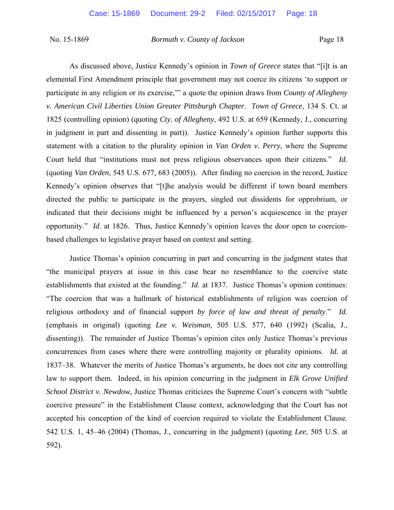As discussed above, Justice Kennedy's opinion in *Town of Greece* states that "[i]t is an elemental First Amendment principle that government may not coerce its citizens 'to support or participate in any religion or its exercise,'" a quote the opinion draws from *County of Allegheny v. American Civil Liberties Union Greater Pittsburgh Chapter*. *Town of Greece*, 134 S. Ct. at 1825 (controlling opinion) (quoting *Cty. of Allegheny*, 492 U.S. at 659 (Kennedy, J., concurring in judgment in part and dissenting in part)). Justice Kennedy's opinion further supports this statement with a citation to the plurality opinion in *Van Orden v. Perry*, where the Supreme Court held that "institutions must not press religious observances upon their citizens." *Id.* (quoting *Van Orden*, 545 U.S. 677, 683 (2005)). After finding no coercion in the record, Justice Kennedy's opinion observes that "[t]he analysis would be different if town board members directed the public to participate in the prayers, singled out dissidents for opprobrium, or indicated that their decisions might be influenced by a person's acquiescence in the prayer opportunity." *Id*. at 1826. Thus, Justice Kennedy's opinion leaves the door open to coercionbased challenges to legislative prayer based on context and setting.

Justice Thomas's opinion concurring in part and concurring in the judgment states that "the municipal prayers at issue in this case bear no resemblance to the coercive state establishments that existed at the founding." *Id*. at 1837. Justice Thomas's opinion continues: "The coercion that was a hallmark of historical establishments of religion was coercion of religious orthodoxy and of financial support *by force of law and threat of penalty*." *Id.*  (emphasis in original) (quoting *Lee v. Weisman*, 505 U.S. 577, 640 (1992) (Scalia, J., dissenting)). The remainder of Justice Thomas's opinion cites only Justice Thomas's previous concurrences from cases where there were controlling majority or plurality opinions. *Id.* at 1837‒38. Whatever the merits of Justice Thomas's arguments, he does not cite any controlling law to support them. Indeed, in his opinion concurring in the judgment in *Elk Grove Unified School District v. Newdow*, Justice Thomas criticizes the Supreme Court's concern with "subtle coercive pressure" in the Establishment Clause context, acknowledging that the Court has not accepted his conception of the kind of coercion required to violate the Establishment Clause. 542 U.S. 1, 45‒46 (2004) (Thomas, J., concurring in the judgment) (quoting *Lee*, 505 U.S. at 592).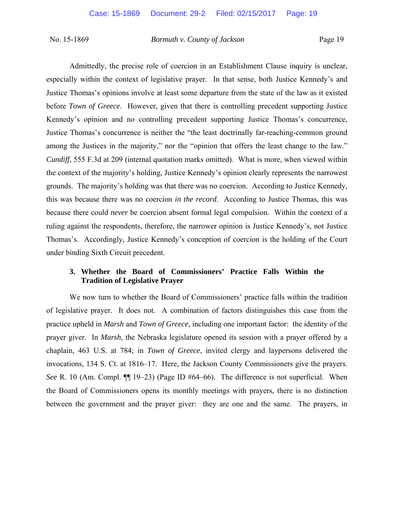Admittedly, the precise role of coercion in an Establishment Clause inquiry is unclear, especially within the context of legislative prayer. In that sense, both Justice Kennedy's and Justice Thomas's opinions involve at least some departure from the state of the law as it existed before *Town of Greece*. However, given that there is controlling precedent supporting Justice Kennedy's opinion and no controlling precedent supporting Justice Thomas's concurrence, Justice Thomas's concurrence is neither the "the least doctrinally far-reaching-common ground among the Justices in the majority," nor the "opinion that offers the least change to the law." *Cundiff*, 555 F.3d at 209 (internal quotation marks omitted). What is more, when viewed within the context of the majority's holding, Justice Kennedy's opinion clearly represents the narrowest grounds. The majority's holding was that there was no coercion. According to Justice Kennedy, this was because there was no coercion *in the record*. According to Justice Thomas, this was because there could *never* be coercion absent formal legal compulsion. Within the context of a ruling against the respondents, therefore, the narrower opinion is Justice Kennedy's, not Justice Thomas's. Accordingly, Justice Kennedy's conception of coercion is the holding of the Court under binding Sixth Circuit precedent.

# **3. Whether the Board of Commissioners' Practice Falls Within the Tradition of Legislative Prayer**

We now turn to whether the Board of Commissioners' practice falls within the tradition of legislative prayer. It does not. A combination of factors distinguishes this case from the practice upheld in *Marsh* and *Town of Greece*, including one important factor: the identity of the prayer giver. In *Marsh*, the Nebraska legislature opened its session with a prayer offered by a chaplain, 463 U.S. at 784; in *Town of Greece*, invited clergy and laypersons delivered the invocations, 134 S. Ct. at 1816–17. Here, the Jackson County Commissioners give the prayers. *See* R. 10 (Am. Compl.  $\P$  19–23) (Page ID #64–66). The difference is not superficial. When the Board of Commissioners opens its monthly meetings with prayers, there is no distinction between the government and the prayer giver: they are one and the same. The prayers, in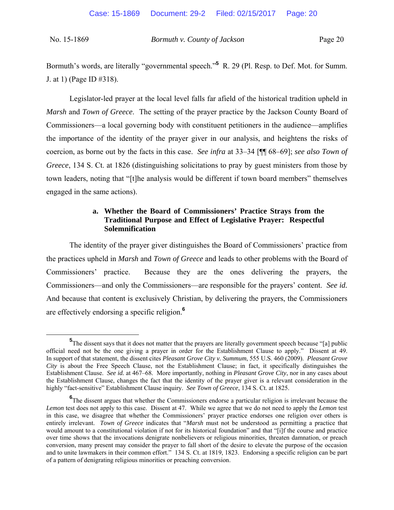Bormuth's words, are literally "governmental speech."<sup>5</sup> R. 29 (Pl. Resp. to Def. Mot. for Summ. J. at 1) (Page ID #318).

Legislator-led prayer at the local level falls far afield of the historical tradition upheld in *Marsh* and *Town of Greece*. The setting of the prayer practice by the Jackson County Board of Commissioners—a local governing body with constituent petitioners in the audience—amplifies the importance of the identity of the prayer giver in our analysis, and heightens the risks of coercion, as borne out by the facts in this case. *See infra* at 33–34 [¶¶ 68–69]; *see also Town of Greece*, 134 S. Ct. at 1826 (distinguishing solicitations to pray by guest ministers from those by town leaders, noting that "[t]he analysis would be different if town board members" themselves engaged in the same actions).

# **a. Whether the Board of Commissioners' Practice Strays from the Traditional Purpose and Effect of Legislative Prayer: Respectful Solemnification**

The identity of the prayer giver distinguishes the Board of Commissioners' practice from the practices upheld in *Marsh* and *Town of Greece* and leads to other problems with the Board of Commissioners' practice. Because they are the ones delivering the prayers, the Commissioners—and only the Commissioners—are responsible for the prayers' content. *See id.* And because that content is exclusively Christian, by delivering the prayers, the Commissioners are effectively endorsing a specific religion.**<sup>6</sup>**

**<sup>5</sup>** <sup>5</sup>The dissent says that it does not matter that the prayers are literally government speech because "[a] public official need not be the one giving a prayer in order for the Establishment Clause to apply." Dissent at 49. In support of that statement, the dissent cites *Pleasant Grove City v. Summum*, 555 U.S. 460 (2009). *Pleasant Grove City* is about the Free Speech Clause, not the Establishment Clause; in fact, it specifically distinguishes the Establishment Clause. *See id.* at 467–68. More importantly, nothing in *Pleasant Grove City*, nor in any cases about the Establishment Clause, changes the fact that the identity of the prayer giver is a relevant consideration in the highly "fact-sensitive" Establishment Clause inquiry. *See Town of Greece*, 134 S. Ct. at 1825.

**<sup>6</sup>**The dissent argues that whether the Commissioners endorse a particular religion is irrelevant because the *Lemon* test does not apply to this case. Dissent at 47. While we agree that we do not need to apply the *Lemon* test in this case, we disagree that whether the Commissioners' prayer practice endorses one religion over others is entirely irrelevant. *Town of Greece* indicates that "*Marsh* must not be understood as permitting a practice that would amount to a constitutional violation if not for its historical foundation" and that "[i]f the course and practice over time shows that the invocations denigrate nonbelievers or religious minorities, threaten damnation, or preach conversion, many present may consider the prayer to fall short of the desire to elevate the purpose of the occasion and to unite lawmakers in their common effort." 134 S. Ct. at 1819, 1823. Endorsing a specific religion can be part of a pattern of denigrating religious minorities or preaching conversion.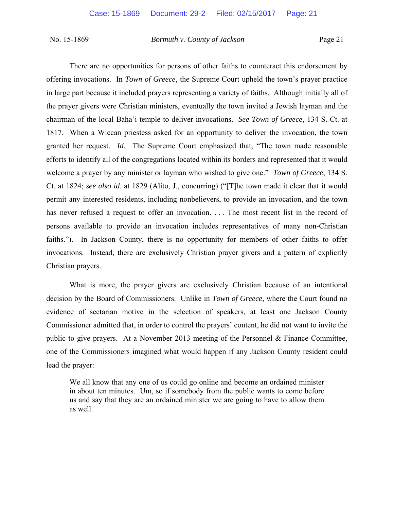There are no opportunities for persons of other faiths to counteract this endorsement by offering invocations. In *Town of Greece*, the Supreme Court upheld the town's prayer practice in large part because it included prayers representing a variety of faiths. Although initially all of the prayer givers were Christian ministers, eventually the town invited a Jewish layman and the chairman of the local Baha'i temple to deliver invocations. *See Town of Greece*, 134 S. Ct. at 1817. When a Wiccan priestess asked for an opportunity to deliver the invocation, the town granted her request. *Id*. The Supreme Court emphasized that, "The town made reasonable efforts to identify all of the congregations located within its borders and represented that it would welcome a prayer by any minister or layman who wished to give one." *Town of Greece*, 134 S. Ct. at 1824; *see also id*. at 1829 (Alito, J., concurring) ("[T]he town made it clear that it would permit any interested residents, including nonbelievers, to provide an invocation, and the town has never refused a request to offer an invocation. ... The most recent list in the record of persons available to provide an invocation includes representatives of many non-Christian faiths."). In Jackson County, there is no opportunity for members of other faiths to offer invocations. Instead, there are exclusively Christian prayer givers and a pattern of explicitly Christian prayers.

 What is more, the prayer givers are exclusively Christian because of an intentional decision by the Board of Commissioners. Unlike in *Town of Greece*, where the Court found no evidence of sectarian motive in the selection of speakers, at least one Jackson County Commissioner admitted that, in order to control the prayers' content, he did not want to invite the public to give prayers. At a November 2013 meeting of the Personnel & Finance Committee, one of the Commissioners imagined what would happen if any Jackson County resident could lead the prayer:

We all know that any one of us could go online and become an ordained minister in about ten minutes. Um, so if somebody from the public wants to come before us and say that they are an ordained minister we are going to have to allow them as well.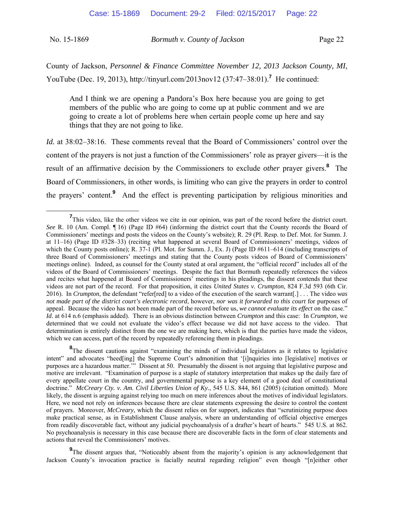| No. 15-1869 | Bormuth v. County of Jackson | Page 22 |
|-------------|------------------------------|---------|
|             |                              |         |

County of Jackson, *Personnel & Finance Committee November 12, 2013 Jackson County, MI*, YouTube (Dec. 19, 2013), http://tinyurl.com/2013nov12 (37:47–38:01).<sup>7</sup> He continued:

And I think we are opening a Pandora's Box here because you are going to get members of the public who are going to come up at public comment and we are going to create a lot of problems here when certain people come up here and say things that they are not going to like.

*Id.* at 38:02–38:16. These comments reveal that the Board of Commissioners' control over the content of the prayers is not just a function of the Commissioners' role as prayer givers—it is the result of an affirmative decision by the Commissioners to exclude *other* prayer givers.**<sup>8</sup>** The Board of Commissioners, in other words, is limiting who can give the prayers in order to control the prayers' content.**<sup>9</sup>** And the effect is preventing participation by religious minorities and

**9**The dissent argues that, "Noticeably absent from the majority's opinion is any acknowledgement that Jackson County's invocation practice is facially neutral regarding religion" even though "[n]either other

**<sup>7</sup>** <sup>7</sup>This video, like the other videos we cite in our opinion, was part of the record before the district court. *See* R. 10 (Am. Compl. ¶ 16) (Page ID #64) (informing the district court that the County records the Board of Commissioners' meetings and posts the videos on the County's website); R. 29 (Pl. Resp. to Def. Mot. for Summ. J. at  $11-16$ ) (Page ID #328-33) (reciting what happened at several Board of Commissioners' meetings, videos of which the County posts online); R. 37-1 (Pl. Mot. for Summ. J., Ex. J) (Page ID #611–614 (including transcripts of three Board of Commissioners' meetings and stating that the County posts videos of Board of Commissioners' meetings online). Indeed, as counsel for the County stated at oral argument, the "official record" includes all of the videos of the Board of Commissioners' meetings. Despite the fact that Bormuth repeatedly references the videos and recites what happened at Board of Commissioners' meetings in his pleadings, the dissent contends that these videos are not part of the record. For that proposition, it cites *United States v. Crumpton*, 824 F.3d 593 (6th Cir. 2016). In *Crumpton*, the defendant "refer[red] to a video of the execution of the search warrant[.] . . . The video *was not made part of the district court's electronic record*, however, *nor was it forwarded to this court* for purposes of appeal. Because the video has not been made part of the record before us, *we cannot evaluate its effect* on the case." *Id*. at 614 n.6 (emphasis added). There is an obvious distinction between *Crumpton* and this case: In *Crumpton*, we determined that we could not evaluate the video's effect because we did not have access to the video. That determination is entirely distinct from the one we are making here, which is that the parties have made the videos, which we can access, part of the record by repeatedly referencing them in pleadings.

<sup>&</sup>lt;sup>8</sup>The dissent cautions against "examining the minds of individual legislators as it relates to legislative intent" and advocates "heed[ing] the Supreme Court's admonition that '[i]nquiries into [legislative] motives or purposes are a hazardous matter.'" Dissent at 50. Presumably the dissent is not arguing that legislative purpose and motive are irrelevant. "Examination of purpose is a staple of statutory interpretation that makes up the daily fare of every appellate court in the country, and governmental purpose is a key element of a good deal of constitutional doctrine." *McCreary Cty. v. Am. Civil Liberties Union of Ky.*, 545 U.S. 844, 861 (2005) (citation omitted). More likely, the dissent is arguing against relying too much on mere inferences about the motives of individual legislators. Here, we need not rely on inferences because there are clear statements expressing the desire to control the content of prayers. Moreover, *McCreary*, which the dissent relies on for support, indicates that "scrutinizing purpose does make practical sense, as in Establishment Clause analysis, where an understanding of official objective emerges from readily discoverable fact, without any judicial psychoanalysis of a drafter's heart of hearts." 545 U.S. at 862. No psychoanalysis is necessary in this case because there are discoverable facts in the form of clear statements and actions that reveal the Commissioners' motives.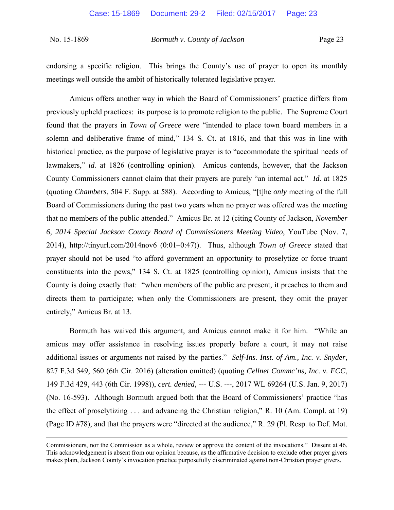endorsing a specific religion. This brings the County's use of prayer to open its monthly meetings well outside the ambit of historically tolerated legislative prayer.

 Amicus offers another way in which the Board of Commissioners' practice differs from previously upheld practices: its purpose is to promote religion to the public. The Supreme Court found that the prayers in *Town of Greece* were "intended to place town board members in a solemn and deliberative frame of mind," 134 S. Ct. at 1816, and that this was in line with historical practice, as the purpose of legislative prayer is to "accommodate the spiritual needs of lawmakers," *id.* at 1826 (controlling opinion). Amicus contends, however, that the Jackson County Commissioners cannot claim that their prayers are purely "an internal act." *Id.* at 1825 (quoting *Chambers*, 504 F. Supp. at 588). According to Amicus, "[t]he *only* meeting of the full Board of Commissioners during the past two years when no prayer was offered was the meeting that no members of the public attended." Amicus Br. at 12 (citing County of Jackson, *November 6, 2014 Special Jackson County Board of Commissioners Meeting Video*, YouTube (Nov. 7, 2014), http://tinyurl.com/2014nov6 (0:01–0:47)). Thus, although *Town of Greece* stated that prayer should not be used "to afford government an opportunity to proselytize or force truant constituents into the pews," 134 S. Ct. at 1825 (controlling opinion), Amicus insists that the County is doing exactly that: "when members of the public are present, it preaches to them and directs them to participate; when only the Commissioners are present, they omit the prayer entirely," Amicus Br. at 13.

Bormuth has waived this argument, and Amicus cannot make it for him. "While an amicus may offer assistance in resolving issues properly before a court, it may not raise additional issues or arguments not raised by the parties." *Self-Ins. Inst. of Am., Inc. v. Snyder*, 827 F.3d 549, 560 (6th Cir. 2016) (alteration omitted) (quoting *Cellnet Commc'ns, Inc. v. FCC*, 149 F.3d 429, 443 (6th Cir. 1998)), *cert. denied*, --- U.S. ---, 2017 WL 69264 (U.S. Jan. 9, 2017) (No. 16-593). Although Bormuth argued both that the Board of Commissioners' practice "has the effect of proselytizing . . . and advancing the Christian religion," R. 10 (Am. Compl. at 19) (Page ID #78), and that the prayers were "directed at the audience," R. 29 (Pl. Resp. to Def. Mot.

Commissioners, nor the Commission as a whole, review or approve the content of the invocations." Dissent at 46. This acknowledgement is absent from our opinion because, as the affirmative decision to exclude other prayer givers makes plain, Jackson County's invocation practice purposefully discriminated against non-Christian prayer givers.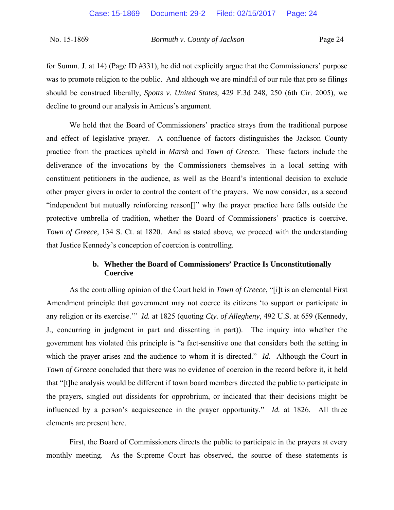for Summ. J. at 14) (Page ID #331), he did not explicitly argue that the Commissioners' purpose was to promote religion to the public. And although we are mindful of our rule that pro se filings should be construed liberally, *Spotts v. United States*, 429 F.3d 248, 250 (6th Cir. 2005), we decline to ground our analysis in Amicus's argument.

We hold that the Board of Commissioners' practice strays from the traditional purpose and effect of legislative prayer. A confluence of factors distinguishes the Jackson County practice from the practices upheld in *Marsh* and *Town of Greece*. These factors include the deliverance of the invocations by the Commissioners themselves in a local setting with constituent petitioners in the audience, as well as the Board's intentional decision to exclude other prayer givers in order to control the content of the prayers. We now consider, as a second "independent but mutually reinforcing reason[]" why the prayer practice here falls outside the protective umbrella of tradition, whether the Board of Commissioners' practice is coercive. *Town of Greece*, 134 S. Ct. at 1820. And as stated above, we proceed with the understanding that Justice Kennedy's conception of coercion is controlling.

# **b. Whether the Board of Commissioners' Practice Is Unconstitutionally Coercive**

As the controlling opinion of the Court held in *Town of Greece*, "[i]t is an elemental First Amendment principle that government may not coerce its citizens 'to support or participate in any religion or its exercise.'" *Id.* at 1825 (quoting *Cty. of Allegheny*, 492 U.S. at 659 (Kennedy, J., concurring in judgment in part and dissenting in part)). The inquiry into whether the government has violated this principle is "a fact-sensitive one that considers both the setting in which the prayer arises and the audience to whom it is directed." *Id.* Although the Court in *Town of Greece* concluded that there was no evidence of coercion in the record before it, it held that "[t]he analysis would be different if town board members directed the public to participate in the prayers, singled out dissidents for opprobrium, or indicated that their decisions might be influenced by a person's acquiescence in the prayer opportunity." *Id.* at 1826. All three elements are present here.

First, the Board of Commissioners directs the public to participate in the prayers at every monthly meeting. As the Supreme Court has observed, the source of these statements is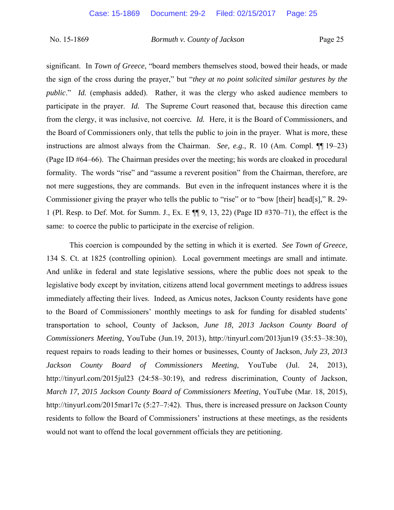significant. In *Town of Greece*, "board members themselves stood, bowed their heads, or made the sign of the cross during the prayer," but "*they at no point solicited similar gestures by the public*." *Id.* (emphasis added). Rather, it was the clergy who asked audience members to participate in the prayer. *Id.* The Supreme Court reasoned that, because this direction came from the clergy, it was inclusive, not coercive*. Id.* Here, it is the Board of Commissioners, and the Board of Commissioners only, that tells the public to join in the prayer. What is more, these instructions are almost always from the Chairman. *See, e.g.*, R. 10 (Am. Compl. ¶[19–23) (Page ID #64–66). The Chairman presides over the meeting; his words are cloaked in procedural formality. The words "rise" and "assume a reverent position" from the Chairman, therefore, are not mere suggestions, they are commands. But even in the infrequent instances where it is the Commissioner giving the prayer who tells the public to "rise" or to "bow [their] head[s]," R. 29- 1 (Pl. Resp. to Def. Mot. for Summ. J., Ex. E ¶¶ 9, 13, 22) (Page ID #370‒71), the effect is the same: to coerce the public to participate in the exercise of religion.

This coercion is compounded by the setting in which it is exerted. *See Town of Greece*, 134 S. Ct. at 1825 (controlling opinion). Local government meetings are small and intimate. And unlike in federal and state legislative sessions, where the public does not speak to the legislative body except by invitation, citizens attend local government meetings to address issues immediately affecting their lives. Indeed, as Amicus notes, Jackson County residents have gone to the Board of Commissioners' monthly meetings to ask for funding for disabled students' transportation to school, County of Jackson, *June 18, 2013 Jackson County Board of Commissioners Meeting*, YouTube (Jun.19, 2013), http://tinyurl.com/2013jun19 (35:53–38:30), request repairs to roads leading to their homes or businesses, County of Jackson, *July 23, 2013 Jackson County Board of Commissioners Meeting*, YouTube (Jul. 24, 2013), http://tinyurl.com/2015jul23 (24:58–30:19), and redress discrimination, County of Jackson, *March 17, 2015 Jackson County Board of Commissioners Meeting*, YouTube (Mar. 18, 2015), http://tinyurl.com/2015mar17c (5:27–7:42). Thus, there is increased pressure on Jackson County residents to follow the Board of Commissioners' instructions at these meetings, as the residents would not want to offend the local government officials they are petitioning.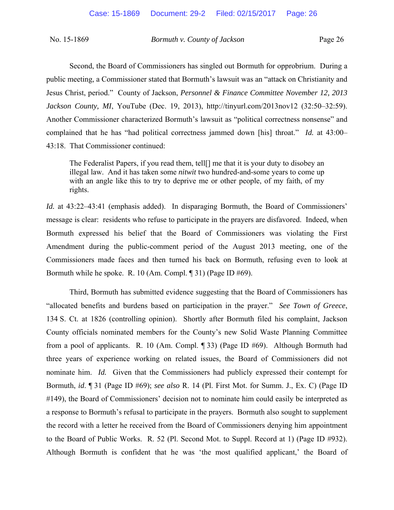Second, the Board of Commissioners has singled out Bormuth for opprobrium. During a public meeting, a Commissioner stated that Bormuth's lawsuit was an "attack on Christianity and Jesus Christ, period." County of Jackson, *Personnel & Finance Committee November 12, 2013 Jackson County, MI, YouTube (Dec. 19, 2013), http://tinyurl.com/2013nov12 (32:50–32:59).* Another Commissioner characterized Bormuth's lawsuit as "political correctness nonsense" and complained that he has "had political correctness jammed down [his] throat." *Id.* at 43:00– 43:18. That Commissioner continued:

The Federalist Papers, if you read them, tell[] me that it is your duty to disobey an illegal law. And it has taken some *nitwit* two hundred-and-some years to come up with an angle like this to try to deprive me or other people, of my faith, of my rights.

*Id.* at 43:22–43:41 (emphasis added). In disparaging Bormuth, the Board of Commissioners' message is clear: residents who refuse to participate in the prayers are disfavored. Indeed, when Bormuth expressed his belief that the Board of Commissioners was violating the First Amendment during the public-comment period of the August 2013 meeting, one of the Commissioners made faces and then turned his back on Bormuth, refusing even to look at Bormuth while he spoke. R. 10 (Am. Compl. ¶ 31) (Page ID #69).

Third, Bormuth has submitted evidence suggesting that the Board of Commissioners has "allocated benefits and burdens based on participation in the prayer." *See Town of Greece*, 134 S. Ct. at 1826 (controlling opinion). Shortly after Bormuth filed his complaint, Jackson County officials nominated members for the County's new Solid Waste Planning Committee from a pool of applicants. R. 10 (Am. Compl. ¶ 33) (Page ID #69). Although Bormuth had three years of experience working on related issues, the Board of Commissioners did not nominate him. *Id.* Given that the Commissioners had publicly expressed their contempt for Bormuth, *id*. ¶ 31 (Page ID #69); *see also* R. 14 (Pl. First Mot. for Summ. J., Ex. C) (Page ID #149), the Board of Commissioners' decision not to nominate him could easily be interpreted as a response to Bormuth's refusal to participate in the prayers. Bormuth also sought to supplement the record with a letter he received from the Board of Commissioners denying him appointment to the Board of Public Works. R. 52 (Pl. Second Mot. to Suppl. Record at 1) (Page ID #932). Although Bormuth is confident that he was 'the most qualified applicant,' the Board of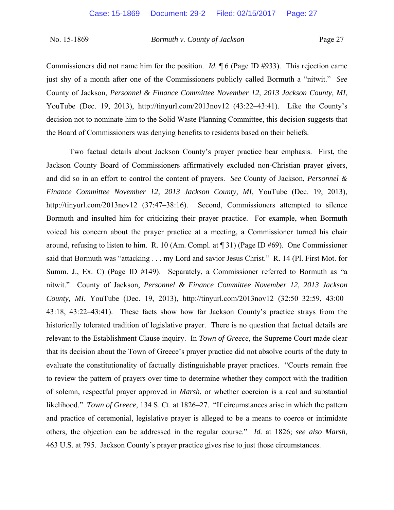Commissioners did not name him for the position. *Id.* ¶ 6 (Page ID #933). This rejection came just shy of a month after one of the Commissioners publicly called Bormuth a "nitwit." *See* County of Jackson, *Personnel & Finance Committee November 12, 2013 Jackson County, MI*, YouTube (Dec. 19, 2013), http://tinyurl.com/2013nov12 (43:22–43:41). Like the County's decision not to nominate him to the Solid Waste Planning Committee, this decision suggests that the Board of Commissioners was denying benefits to residents based on their beliefs.

Two factual details about Jackson County's prayer practice bear emphasis. First, the Jackson County Board of Commissioners affirmatively excluded non-Christian prayer givers, and did so in an effort to control the content of prayers. *See* County of Jackson, *Personnel & Finance Committee November 12, 2013 Jackson County, MI*, YouTube (Dec. 19, 2013), http://tinyurl.com/2013nov12 (37:47–38:16). Second, Commissioners attempted to silence Bormuth and insulted him for criticizing their prayer practice. For example, when Bormuth voiced his concern about the prayer practice at a meeting, a Commissioner turned his chair around, refusing to listen to him. R. 10 (Am. Compl. at ¶ 31) (Page ID #69). One Commissioner said that Bormuth was "attacking . . . my Lord and savior Jesus Christ." R. 14 (Pl. First Mot. for Summ. J., Ex. C) (Page ID #149). Separately, a Commissioner referred to Bormuth as "a nitwit." County of Jackson, *Personnel & Finance Committee November 12, 2013 Jackson County, MI*, YouTube (Dec. 19, 2013), http://tinyurl.com/2013nov12 (32:50–32:59, 43:00– 43:18, 43:22–43:41). These facts show how far Jackson County's practice strays from the historically tolerated tradition of legislative prayer. There is no question that factual details are relevant to the Establishment Clause inquiry. In *Town of Greece*, the Supreme Court made clear that its decision about the Town of Greece's prayer practice did not absolve courts of the duty to evaluate the constitutionality of factually distinguishable prayer practices. "Courts remain free to review the pattern of prayers over time to determine whether they comport with the tradition of solemn, respectful prayer approved in *Marsh*, or whether coercion is a real and substantial likelihood." *Town of Greece*, 134 S. Ct. at 1826–27. "If circumstances arise in which the pattern and practice of ceremonial, legislative prayer is alleged to be a means to coerce or intimidate others, the objection can be addressed in the regular course." *Id.* at 1826; *see also Marsh*, 463 U.S. at 795. Jackson County's prayer practice gives rise to just those circumstances.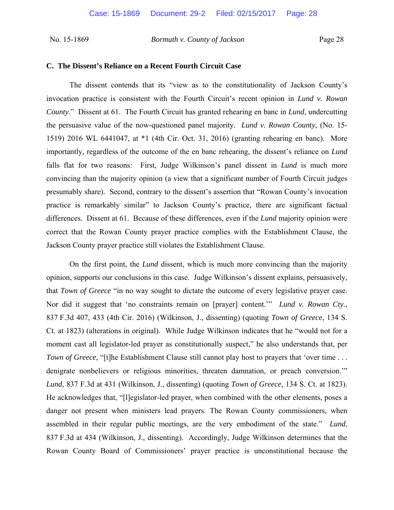#### **C. The Dissent's Reliance on a Recent Fourth Circuit Case**

The dissent contends that its "view as to the constitutionality of Jackson County's invocation practice is consistent with the Fourth Circuit's recent opinion in *Lund v. Rowan County*." Dissent at 61. The Fourth Circuit has granted rehearing en banc in *Lund*, undercutting the persuasive value of the now-questioned panel majority. *Lund v. Rowan County*, (No. 15- 1519) 2016 WL 6441047, at \*1 (4th Cir. Oct. 31, 2016) (granting rehearing en banc). More importantly, regardless of the outcome of the en banc rehearing, the dissent's reliance on *Lund* falls flat for two reasons: First, Judge Wilkinson's panel dissent in *Lund* is much more convincing than the majority opinion (a view that a significant number of Fourth Circuit judges presumably share). Second, contrary to the dissent's assertion that "Rowan County's invocation practice is remarkably similar" to Jackson County's practice, there are significant factual differences. Dissent at 61. Because of these differences, even if the *Lund* majority opinion were correct that the Rowan County prayer practice complies with the Establishment Clause, the Jackson County prayer practice still violates the Establishment Clause.

On the first point, the *Lund* dissent, which is much more convincing than the majority opinion, supports our conclusions in this case. Judge Wilkinson's dissent explains, persuasively, that *Town of Greece* "in no way sought to dictate the outcome of every legislative prayer case. Nor did it suggest that 'no constraints remain on [prayer] content.'" *Lund v. Rowan Cty.*, 837 F.3d 407, 433 (4th Cir. 2016) (Wilkinson, J., dissenting) (quoting *Town of Greece*, 134 S. Ct. at 1823) (alterations in original). While Judge Wilkinson indicates that he "would not for a moment cast all legislator-led prayer as constitutionally suspect," he also understands that, per *Town of Greece*, "[t]he Establishment Clause still cannot play host to prayers that 'over time . . . denigrate nonbelievers or religious minorities, threaten damnation, or preach conversion.'" *Lund*, 837 F.3d at 431 (Wilkinson, J., dissenting) (quoting *Town of Greece*, 134 S. Ct. at 1823). He acknowledges that, "[l]egislator-led prayer, when combined with the other elements, poses a danger not present when ministers lead prayers. The Rowan County commissioners, when assembled in their regular public meetings, are the very embodiment of the state." *Lund*, 837 F.3d at 434 (Wilkinson, J., dissenting). Accordingly, Judge Wilkinson determines that the Rowan County Board of Commissioners' prayer practice is unconstitutional because the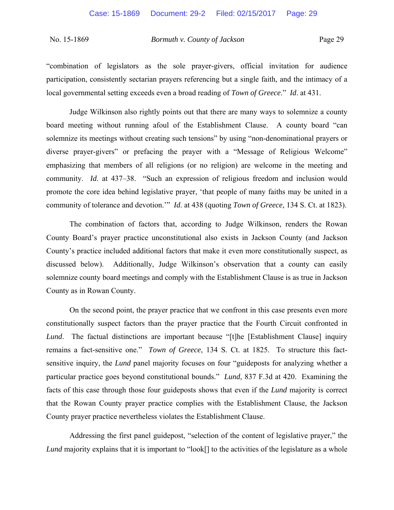"combination of legislators as the sole prayer-givers, official invitation for audience participation, consistently sectarian prayers referencing but a single faith, and the intimacy of a local governmental setting exceeds even a broad reading of *Town of Greece*." *Id*. at 431.

 Judge Wilkinson also rightly points out that there are many ways to solemnize a county board meeting without running afoul of the Establishment Clause. A county board "can solemnize its meetings without creating such tensions" by using "non-denominational prayers or diverse prayer-givers" or prefacing the prayer with a "Message of Religious Welcome" emphasizing that members of all religions (or no religion) are welcome in the meeting and community. *Id*. at 437–38. "Such an expression of religious freedom and inclusion would promote the core idea behind legislative prayer, 'that people of many faiths may be united in a community of tolerance and devotion.'" *Id*. at 438 (quoting *Town of Greece*, 134 S. Ct. at 1823).

The combination of factors that, according to Judge Wilkinson, renders the Rowan County Board's prayer practice unconstitutional also exists in Jackson County (and Jackson County's practice included additional factors that make it even more constitutionally suspect, as discussed below). Additionally, Judge Wilkinson's observation that a county can easily solemnize county board meetings and comply with the Establishment Clause is as true in Jackson County as in Rowan County.

On the second point, the prayer practice that we confront in this case presents even more constitutionally suspect factors than the prayer practice that the Fourth Circuit confronted in *Lund*. The factual distinctions are important because "[t]he [Establishment Clause] inquiry remains a fact-sensitive one." *Town of Greece*, 134 S. Ct. at 1825. To structure this factsensitive inquiry, the *Lund* panel majority focuses on four "guideposts for analyzing whether a particular practice goes beyond constitutional bounds." *Lund*, 837 F.3d at 420. Examining the facts of this case through those four guideposts shows that even if the *Lund* majority is correct that the Rowan County prayer practice complies with the Establishment Clause, the Jackson County prayer practice nevertheless violates the Establishment Clause.

Addressing the first panel guidepost, "selection of the content of legislative prayer," the *Lund* majority explains that it is important to "look<sup>[]</sup> to the activities of the legislature as a whole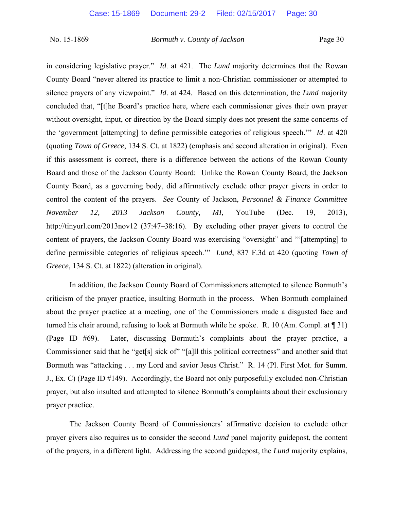in considering legislative prayer." *Id*. at 421. The *Lund* majority determines that the Rowan County Board "never altered its practice to limit a non-Christian commissioner or attempted to silence prayers of any viewpoint." *Id*. at 424. Based on this determination, the *Lund* majority concluded that, "[t]he Board's practice here, where each commissioner gives their own prayer without oversight, input, or direction by the Board simply does not present the same concerns of the 'government [attempting] to define permissible categories of religious speech.'" *Id*. at 420 (quoting *Town of Greece*, 134 S. Ct. at 1822) (emphasis and second alteration in original). Even if this assessment is correct, there is a difference between the actions of the Rowan County Board and those of the Jackson County Board: Unlike the Rowan County Board, the Jackson County Board, as a governing body, did affirmatively exclude other prayer givers in order to control the content of the prayers. *See* County of Jackson, *Personnel & Finance Committee November 12, 2013 Jackson County, MI*, YouTube (Dec. 19, 2013), http://tinyurl.com/2013nov12 (37:47–38:16). By excluding other prayer givers to control the content of prayers, the Jackson County Board was exercising "oversight" and "'[attempting] to define permissible categories of religious speech.'" *Lund*, 837 F.3d at 420 (quoting *Town of Greece*, 134 S. Ct. at 1822) (alteration in original).

In addition, the Jackson County Board of Commissioners attempted to silence Bormuth's criticism of the prayer practice, insulting Bormuth in the process. When Bormuth complained about the prayer practice at a meeting, one of the Commissioners made a disgusted face and turned his chair around, refusing to look at Bormuth while he spoke. R. 10 (Am. Compl. at ¶ 31) (Page ID #69). Later, discussing Bormuth's complaints about the prayer practice, a Commissioner said that he "get[s] sick of" "[a]ll this political correctness" and another said that Bormuth was "attacking . . . my Lord and savior Jesus Christ." R. 14 (Pl. First Mot. for Summ. J., Ex. C) (Page ID #149). Accordingly, the Board not only purposefully excluded non-Christian prayer, but also insulted and attempted to silence Bormuth's complaints about their exclusionary prayer practice.

The Jackson County Board of Commissioners' affirmative decision to exclude other prayer givers also requires us to consider the second *Lund* panel majority guidepost, the content of the prayers, in a different light. Addressing the second guidepost, the *Lund* majority explains,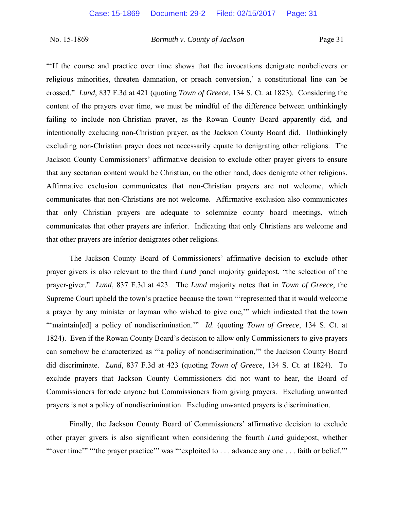"'If the course and practice over time shows that the invocations denigrate nonbelievers or religious minorities, threaten damnation, or preach conversion,' a constitutional line can be crossed." *Lund*, 837 F.3d at 421 (quoting *Town of Greece*, 134 S. Ct. at 1823). Considering the content of the prayers over time, we must be mindful of the difference between unthinkingly failing to include non-Christian prayer, as the Rowan County Board apparently did, and intentionally excluding non-Christian prayer, as the Jackson County Board did. Unthinkingly excluding non-Christian prayer does not necessarily equate to denigrating other religions. The Jackson County Commissioners' affirmative decision to exclude other prayer givers to ensure that any sectarian content would be Christian, on the other hand, does denigrate other religions. Affirmative exclusion communicates that non-Christian prayers are not welcome, which communicates that non-Christians are not welcome. Affirmative exclusion also communicates that only Christian prayers are adequate to solemnize county board meetings, which communicates that other prayers are inferior. Indicating that only Christians are welcome and that other prayers are inferior denigrates other religions.

The Jackson County Board of Commissioners' affirmative decision to exclude other prayer givers is also relevant to the third *Lund* panel majority guidepost, "the selection of the prayer-giver." *Lund*, 837 F.3d at 423. The *Lund* majority notes that in *Town of Greece*, the Supreme Court upheld the town's practice because the town "'represented that it would welcome a prayer by any minister or layman who wished to give one,'" which indicated that the town "maintain[ed] a policy of nondiscrimination." *Id.* (quoting *Town of Greece*, 134 S. Ct. at 1824). Even if the Rowan County Board's decision to allow only Commissioners to give prayers can somehow be characterized as "'a policy of nondiscrimination,'" the Jackson County Board did discriminate. *Lund*, 837 F.3d at 423 (quoting *Town of Greece*, 134 S. Ct. at 1824). To exclude prayers that Jackson County Commissioners did not want to hear, the Board of Commissioners forbade anyone but Commissioners from giving prayers. Excluding unwanted prayers is not a policy of nondiscrimination. Excluding unwanted prayers is discrimination.

Finally, the Jackson County Board of Commissioners' affirmative decision to exclude other prayer givers is also significant when considering the fourth *Lund* guidepost, whether "'over time'" "the prayer practice'" was "'exploited to . . . advance any one . . . faith or belief.'"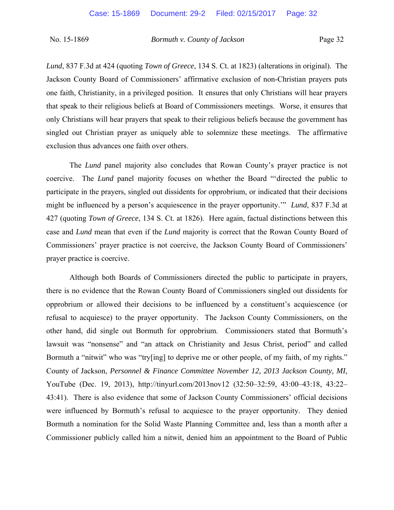*Lund*, 837 F.3d at 424 (quoting *Town of Greece*, 134 S. Ct. at 1823) (alterations in original). The Jackson County Board of Commissioners' affirmative exclusion of non-Christian prayers puts one faith, Christianity, in a privileged position. It ensures that only Christians will hear prayers that speak to their religious beliefs at Board of Commissioners meetings. Worse, it ensures that only Christians will hear prayers that speak to their religious beliefs because the government has singled out Christian prayer as uniquely able to solemnize these meetings. The affirmative exclusion thus advances one faith over others.

The *Lund* panel majority also concludes that Rowan County's prayer practice is not coercive. The *Lund* panel majority focuses on whether the Board "'directed the public to participate in the prayers, singled out dissidents for opprobrium, or indicated that their decisions might be influenced by a person's acquiescence in the prayer opportunity.'" *Lund*, 837 F.3d at 427 (quoting *Town of Greece*, 134 S. Ct. at 1826). Here again, factual distinctions between this case and *Lund* mean that even if the *Lund* majority is correct that the Rowan County Board of Commissioners' prayer practice is not coercive, the Jackson County Board of Commissioners' prayer practice is coercive.

Although both Boards of Commissioners directed the public to participate in prayers, there is no evidence that the Rowan County Board of Commissioners singled out dissidents for opprobrium or allowed their decisions to be influenced by a constituent's acquiescence (or refusal to acquiesce) to the prayer opportunity. The Jackson County Commissioners, on the other hand, did single out Bormuth for opprobrium. Commissioners stated that Bormuth's lawsuit was "nonsense" and "an attack on Christianity and Jesus Christ, period" and called Bormuth a "nitwit" who was "try[ing] to deprive me or other people, of my faith, of my rights." County of Jackson, *Personnel & Finance Committee November 12, 2013 Jackson County, MI*, YouTube (Dec. 19, 2013), http://tinyurl.com/2013nov12 (32:50–32:59, 43:00–43:18, 43:22– 43:41). There is also evidence that some of Jackson County Commissioners' official decisions were influenced by Bormuth's refusal to acquiesce to the prayer opportunity. They denied Bormuth a nomination for the Solid Waste Planning Committee and, less than a month after a Commissioner publicly called him a nitwit, denied him an appointment to the Board of Public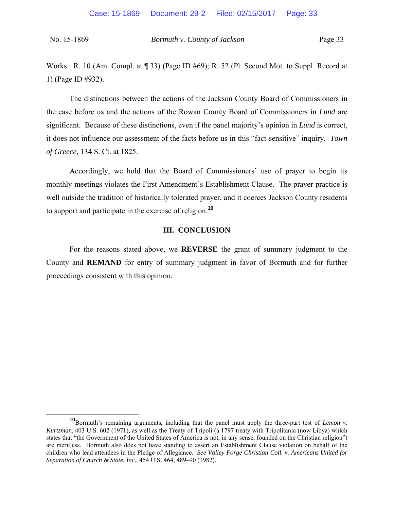Works. R. 10 (Am. Compl. at ¶ 33) (Page ID #69); R. 52 (Pl. Second Mot. to Suppl. Record at 1) (Page ID #932).

The distinctions between the actions of the Jackson County Board of Commissioners in the case before us and the actions of the Rowan County Board of Commissioners in *Lund* are significant. Because of these distinctions, even if the panel majority's opinion in *Lund* is correct, it does not influence our assessment of the facts before us in this "fact-sensitive" inquiry. *Town of Greece*, 134 S. Ct. at 1825.

Accordingly, we hold that the Board of Commissioners' use of prayer to begin its monthly meetings violates the First Amendment's Establishment Clause. The prayer practice is well outside the tradition of historically tolerated prayer, and it coerces Jackson County residents to support and participate in the exercise of religion.**<sup>10</sup>**

### **III. CONCLUSION**

 For the reasons stated above, we **REVERSE** the grant of summary judgment to the County and **REMAND** for entry of summary judgment in favor of Bormuth and for further proceedings consistent with this opinion.

**<sup>10</sup>**Bormuth's remaining arguments, including that the panel must apply the three-part test of *Lemon v. Kurtzman*, 403 U.S. 602 (1971), as well as the Treaty of Tripoli (a 1797 treaty with Tripolitania (now Libya) which states that "the Government of the United States of America is not, in any sense, founded on the Christian religion") are meritless. Bormuth also does not have standing to assert an Establishment Clause violation on behalf of the children who lead attendees in the Pledge of Allegiance. *See Valley Forge Christian Coll. v. Americans United for Separation of Church & State, Inc.*, 454 U.S. 464, 489‒90 (1982).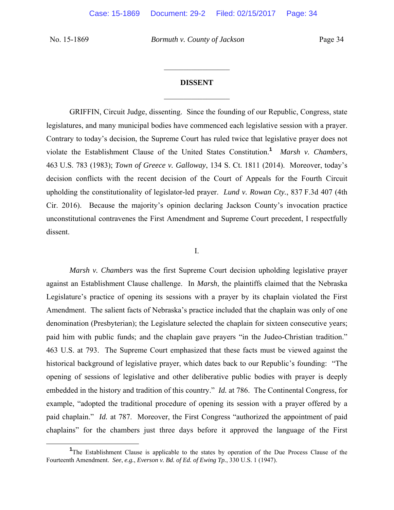### **DISSENT**

 $\frac{1}{2}$ 

 $\frac{1}{2}$ 

GRIFFIN, Circuit Judge, dissenting. Since the founding of our Republic, Congress, state legislatures, and many municipal bodies have commenced each legislative session with a prayer. Contrary to today's decision, the Supreme Court has ruled twice that legislative prayer does not violate the Establishment Clause of the United States Constitution.**<sup>1</sup>** *Marsh v. Chambers*, 463 U.S. 783 (1983); *Town of Greece v. Galloway*, 134 S. Ct. 1811 (2014). Moreover, today's decision conflicts with the recent decision of the Court of Appeals for the Fourth Circuit upholding the constitutionality of legislator-led prayer. *Lund v. Rowan Cty.*, 837 F.3d 407 (4th Cir. 2016). Because the majority's opinion declaring Jackson County's invocation practice unconstitutional contravenes the First Amendment and Supreme Court precedent, I respectfully dissent.

I.

*Marsh v. Chambers* was the first Supreme Court decision upholding legislative prayer against an Establishment Clause challenge. In *Marsh*, the plaintiffs claimed that the Nebraska Legislature's practice of opening its sessions with a prayer by its chaplain violated the First Amendment. The salient facts of Nebraska's practice included that the chaplain was only of one denomination (Presbyterian); the Legislature selected the chaplain for sixteen consecutive years; paid him with public funds; and the chaplain gave prayers "in the Judeo-Christian tradition." 463 U.S. at 793. The Supreme Court emphasized that these facts must be viewed against the historical background of legislative prayer, which dates back to our Republic's founding: "The opening of sessions of legislative and other deliberative public bodies with prayer is deeply embedded in the history and tradition of this country." *Id.* at 786. The Continental Congress, for example, "adopted the traditional procedure of opening its session with a prayer offered by a paid chaplain." *Id.* at 787. Moreover, the First Congress "authorized the appointment of paid chaplains" for the chambers just three days before it approved the language of the First

<sup>&</sup>lt;u>1</u> <sup>1</sup>The Establishment Clause is applicable to the states by operation of the Due Process Clause of the Fourteenth Amendment. *See*, *e.g.*, *Everson v. Bd. of Ed. of Ewing Tp.*, 330 U.S. 1 (1947).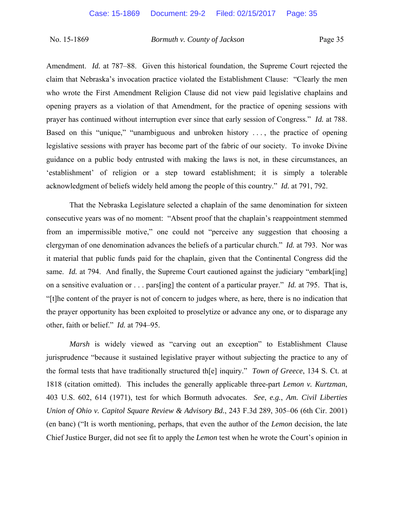Amendment. *Id.* at 787–88. Given this historical foundation, the Supreme Court rejected the claim that Nebraska's invocation practice violated the Establishment Clause: "Clearly the men who wrote the First Amendment Religion Clause did not view paid legislative chaplains and opening prayers as a violation of that Amendment, for the practice of opening sessions with prayer has continued without interruption ever since that early session of Congress." *Id.* at 788. Based on this "unique," "unambiguous and unbroken history . . . , the practice of opening legislative sessions with prayer has become part of the fabric of our society. To invoke Divine guidance on a public body entrusted with making the laws is not, in these circumstances, an 'establishment' of religion or a step toward establishment; it is simply a tolerable acknowledgment of beliefs widely held among the people of this country." *Id.* at 791, 792.

That the Nebraska Legislature selected a chaplain of the same denomination for sixteen consecutive years was of no moment: "Absent proof that the chaplain's reappointment stemmed from an impermissible motive," one could not "perceive any suggestion that choosing a clergyman of one denomination advances the beliefs of a particular church." *Id.* at 793. Nor was it material that public funds paid for the chaplain, given that the Continental Congress did the same. *Id.* at 794. And finally, the Supreme Court cautioned against the judiciary "embark[ing] on a sensitive evaluation or . . . pars[ing] the content of a particular prayer." *Id.* at 795. That is, "[t]he content of the prayer is not of concern to judges where, as here, there is no indication that the prayer opportunity has been exploited to proselytize or advance any one, or to disparage any other, faith or belief." *Id.* at 794–95.

*Marsh* is widely viewed as "carving out an exception" to Establishment Clause jurisprudence "because it sustained legislative prayer without subjecting the practice to any of the formal tests that have traditionally structured th[e] inquiry." *Town of Greece*, 134 S. Ct. at 1818 (citation omitted). This includes the generally applicable three-part *Lemon v. Kurtzman*, 403 U.S. 602, 614 (1971), test for which Bormuth advocates. *See*, *e.g.*, *Am. Civil Liberties Union of Ohio v. Capitol Square Review & Advisory Bd.*, 243 F.3d 289, 305–06 (6th Cir. 2001) (en banc) ("It is worth mentioning, perhaps, that even the author of the *Lemon* decision, the late Chief Justice Burger, did not see fit to apply the *Lemon* test when he wrote the Court's opinion in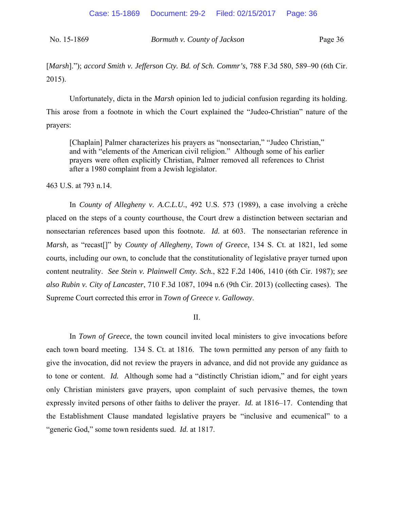[*Marsh*]."); *accord Smith v. Jefferson Cty. Bd. of Sch. Commr's*, 788 F.3d 580, 589–90 (6th Cir. 2015).

Unfortunately, dicta in the *Marsh* opinion led to judicial confusion regarding its holding. This arose from a footnote in which the Court explained the "Judeo-Christian" nature of the prayers:

[Chaplain] Palmer characterizes his prayers as "nonsectarian," "Judeo Christian," and with "elements of the American civil religion." Although some of his earlier prayers were often explicitly Christian, Palmer removed all references to Christ after a 1980 complaint from a Jewish legislator.

463 U.S. at 793 n.14.

In *County of Allegheny v. A.C.L.U.*, 492 U.S. 573 (1989), a case involving a crèche placed on the steps of a county courthouse, the Court drew a distinction between sectarian and nonsectarian references based upon this footnote. *Id.* at 603. The nonsectarian reference in *Marsh*, as "recast[]" by *County of Allegheny*, *Town of Greece*, 134 S. Ct. at 1821, led some courts, including our own, to conclude that the constitutionality of legislative prayer turned upon content neutrality. *See Stein v. Plainwell Cmty. Sch.*, 822 F.2d 1406, 1410 (6th Cir. 1987); *see also Rubin v. City of Lancaster*, 710 F.3d 1087, 1094 n.6 (9th Cir. 2013) (collecting cases). The Supreme Court corrected this error in *Town of Greece v. Galloway*.

II.

In *Town of Greece*, the town council invited local ministers to give invocations before each town board meeting. 134 S. Ct. at 1816. The town permitted any person of any faith to give the invocation, did not review the prayers in advance, and did not provide any guidance as to tone or content. *Id.* Although some had a "distinctly Christian idiom," and for eight years only Christian ministers gave prayers, upon complaint of such pervasive themes, the town expressly invited persons of other faiths to deliver the prayer. *Id.* at 1816–17. Contending that the Establishment Clause mandated legislative prayers be "inclusive and ecumenical" to a "generic God," some town residents sued. *Id.* at 1817.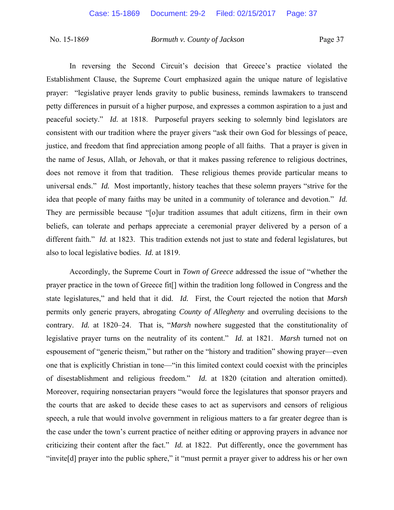In reversing the Second Circuit's decision that Greece's practice violated the Establishment Clause, the Supreme Court emphasized again the unique nature of legislative prayer: "legislative prayer lends gravity to public business, reminds lawmakers to transcend petty differences in pursuit of a higher purpose, and expresses a common aspiration to a just and peaceful society." *Id.* at 1818. Purposeful prayers seeking to solemnly bind legislators are consistent with our tradition where the prayer givers "ask their own God for blessings of peace, justice, and freedom that find appreciation among people of all faiths. That a prayer is given in the name of Jesus, Allah, or Jehovah, or that it makes passing reference to religious doctrines, does not remove it from that tradition. These religious themes provide particular means to universal ends." *Id.* Most importantly, history teaches that these solemn prayers "strive for the idea that people of many faiths may be united in a community of tolerance and devotion." *Id.*  They are permissible because "[o]ur tradition assumes that adult citizens, firm in their own beliefs, can tolerate and perhaps appreciate a ceremonial prayer delivered by a person of a different faith." *Id.* at 1823. This tradition extends not just to state and federal legislatures, but also to local legislative bodies. *Id.* at 1819.

Accordingly, the Supreme Court in *Town of Greece* addressed the issue of "whether the prayer practice in the town of Greece fit[] within the tradition long followed in Congress and the state legislatures," and held that it did. *Id.* First, the Court rejected the notion that *Marsh* permits only generic prayers, abrogating *County of Allegheny* and overruling decisions to the contrary. *Id.* at 1820–24. That is, "*Marsh* nowhere suggested that the constitutionality of legislative prayer turns on the neutrality of its content." *Id.* at 1821. *Marsh* turned not on espousement of "generic theism," but rather on the "history and tradition" showing prayer—even one that is explicitly Christian in tone—"in this limited context could coexist with the principles of disestablishment and religious freedom." *Id.* at 1820 (citation and alteration omitted). Moreover, requiring nonsectarian prayers "would force the legislatures that sponsor prayers and the courts that are asked to decide these cases to act as supervisors and censors of religious speech, a rule that would involve government in religious matters to a far greater degree than is the case under the town's current practice of neither editing or approving prayers in advance nor criticizing their content after the fact." *Id.* at 1822. Put differently, once the government has "invite<sup>[d]</sup> prayer into the public sphere," it "must permit a prayer giver to address his or her own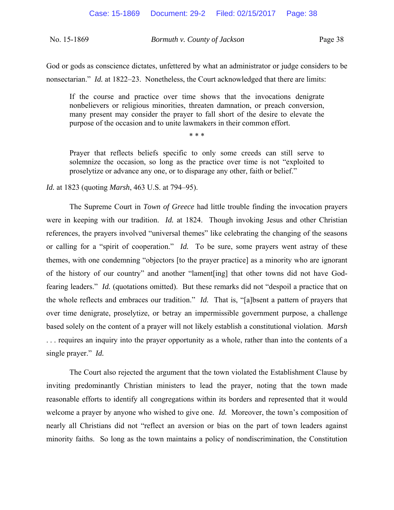| No. 15-1869 | Bormuth v. County of Jackson | Page 38 |
|-------------|------------------------------|---------|
|-------------|------------------------------|---------|

God or gods as conscience dictates, unfettered by what an administrator or judge considers to be nonsectarian." *Id.* at 1822–23. Nonetheless, the Court acknowledged that there are limits:

If the course and practice over time shows that the invocations denigrate nonbelievers or religious minorities, threaten damnation, or preach conversion, many present may consider the prayer to fall short of the desire to elevate the purpose of the occasion and to unite lawmakers in their common effort.

\* \* \*

Prayer that reflects beliefs specific to only some creeds can still serve to solemnize the occasion, so long as the practice over time is not "exploited to proselytize or advance any one, or to disparage any other, faith or belief."

*Id.* at 1823 (quoting *Marsh*, 463 U.S. at 794–95).

The Supreme Court in *Town of Greece* had little trouble finding the invocation prayers were in keeping with our tradition. *Id.* at 1824. Though invoking Jesus and other Christian references, the prayers involved "universal themes" like celebrating the changing of the seasons or calling for a "spirit of cooperation." *Id.* To be sure, some prayers went astray of these themes, with one condemning "objectors [to the prayer practice] as a minority who are ignorant of the history of our country" and another "lament[ing] that other towns did not have Godfearing leaders." *Id.* (quotations omitted). But these remarks did not "despoil a practice that on the whole reflects and embraces our tradition." *Id.* That is, "[a]bsent a pattern of prayers that over time denigrate, proselytize, or betray an impermissible government purpose, a challenge based solely on the content of a prayer will not likely establish a constitutional violation. *Marsh*  . . . requires an inquiry into the prayer opportunity as a whole, rather than into the contents of a single prayer." *Id.*

The Court also rejected the argument that the town violated the Establishment Clause by inviting predominantly Christian ministers to lead the prayer, noting that the town made reasonable efforts to identify all congregations within its borders and represented that it would welcome a prayer by anyone who wished to give one. *Id.* Moreover, the town's composition of nearly all Christians did not "reflect an aversion or bias on the part of town leaders against minority faiths. So long as the town maintains a policy of nondiscrimination, the Constitution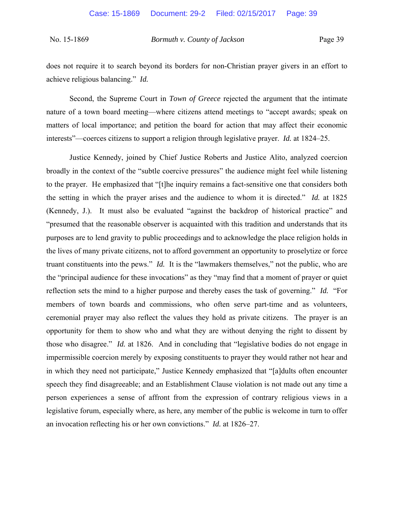does not require it to search beyond its borders for non-Christian prayer givers in an effort to achieve religious balancing." *Id.*

Second, the Supreme Court in *Town of Greece* rejected the argument that the intimate nature of a town board meeting—where citizens attend meetings to "accept awards; speak on matters of local importance; and petition the board for action that may affect their economic interests"—coerces citizens to support a religion through legislative prayer. *Id.* at 1824–25.

Justice Kennedy, joined by Chief Justice Roberts and Justice Alito, analyzed coercion broadly in the context of the "subtle coercive pressures" the audience might feel while listening to the prayer. He emphasized that "[t]he inquiry remains a fact-sensitive one that considers both the setting in which the prayer arises and the audience to whom it is directed." *Id.* at 1825 (Kennedy, J.). It must also be evaluated "against the backdrop of historical practice" and "presumed that the reasonable observer is acquainted with this tradition and understands that its purposes are to lend gravity to public proceedings and to acknowledge the place religion holds in the lives of many private citizens, not to afford government an opportunity to proselytize or force truant constituents into the pews." *Id.* It is the "lawmakers themselves," not the public, who are the "principal audience for these invocations" as they "may find that a moment of prayer or quiet reflection sets the mind to a higher purpose and thereby eases the task of governing." *Id.* "For members of town boards and commissions, who often serve part-time and as volunteers, ceremonial prayer may also reflect the values they hold as private citizens. The prayer is an opportunity for them to show who and what they are without denying the right to dissent by those who disagree." *Id.* at 1826. And in concluding that "legislative bodies do not engage in impermissible coercion merely by exposing constituents to prayer they would rather not hear and in which they need not participate," Justice Kennedy emphasized that "[a]dults often encounter speech they find disagreeable; and an Establishment Clause violation is not made out any time a person experiences a sense of affront from the expression of contrary religious views in a legislative forum, especially where, as here, any member of the public is welcome in turn to offer an invocation reflecting his or her own convictions." *Id.* at 1826–27.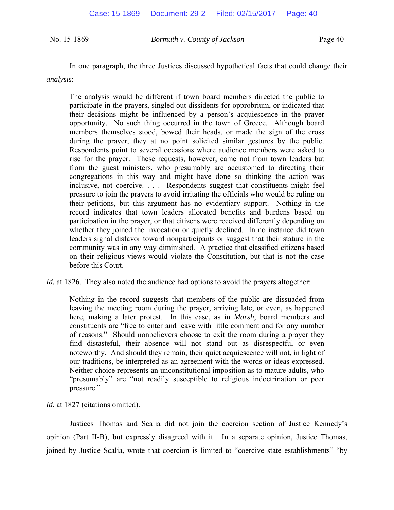In one paragraph, the three Justices discussed hypothetical facts that could change their *analysis*:

The analysis would be different if town board members directed the public to participate in the prayers, singled out dissidents for opprobrium, or indicated that their decisions might be influenced by a person's acquiescence in the prayer opportunity. No such thing occurred in the town of Greece. Although board members themselves stood, bowed their heads, or made the sign of the cross during the prayer, they at no point solicited similar gestures by the public. Respondents point to several occasions where audience members were asked to rise for the prayer. These requests, however, came not from town leaders but from the guest ministers, who presumably are accustomed to directing their congregations in this way and might have done so thinking the action was inclusive, not coercive. . . . Respondents suggest that constituents might feel pressure to join the prayers to avoid irritating the officials who would be ruling on their petitions, but this argument has no evidentiary support. Nothing in the record indicates that town leaders allocated benefits and burdens based on participation in the prayer, or that citizens were received differently depending on whether they joined the invocation or quietly declined. In no instance did town leaders signal disfavor toward nonparticipants or suggest that their stature in the community was in any way diminished. A practice that classified citizens based on their religious views would violate the Constitution, but that is not the case before this Court.

*Id.* at 1826. They also noted the audience had options to avoid the prayers altogether:

Nothing in the record suggests that members of the public are dissuaded from leaving the meeting room during the prayer, arriving late, or even, as happened here, making a later protest. In this case, as in *Marsh*, board members and constituents are "free to enter and leave with little comment and for any number of reasons." Should nonbelievers choose to exit the room during a prayer they find distasteful, their absence will not stand out as disrespectful or even noteworthy. And should they remain, their quiet acquiescence will not, in light of our traditions, be interpreted as an agreement with the words or ideas expressed. Neither choice represents an unconstitutional imposition as to mature adults, who "presumably" are "not readily susceptible to religious indoctrination or peer pressure."

*Id.* at 1827 (citations omitted).

Justices Thomas and Scalia did not join the coercion section of Justice Kennedy's opinion (Part II-B), but expressly disagreed with it. In a separate opinion, Justice Thomas, joined by Justice Scalia, wrote that coercion is limited to "coercive state establishments" "by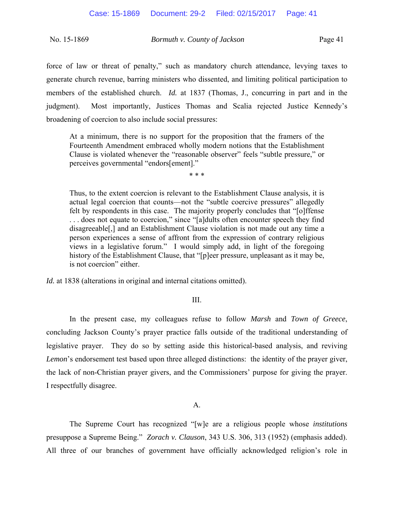force of law or threat of penalty," such as mandatory church attendance, levying taxes to generate church revenue, barring ministers who dissented, and limiting political participation to members of the established church. *Id.* at 1837 (Thomas, J., concurring in part and in the judgment). Most importantly, Justices Thomas and Scalia rejected Justice Kennedy's broadening of coercion to also include social pressures:

At a minimum, there is no support for the proposition that the framers of the Fourteenth Amendment embraced wholly modern notions that the Establishment Clause is violated whenever the "reasonable observer" feels "subtle pressure," or perceives governmental "endors[ement]."

\* \* \*

Thus, to the extent coercion is relevant to the Establishment Clause analysis, it is actual legal coercion that counts—not the "subtle coercive pressures" allegedly felt by respondents in this case. The majority properly concludes that "[o]ffense . . . does not equate to coercion," since "[a]dults often encounter speech they find disagreeable[,] and an Establishment Clause violation is not made out any time a person experiences a sense of affront from the expression of contrary religious views in a legislative forum." I would simply add, in light of the foregoing history of the Establishment Clause, that "[p]eer pressure, unpleasant as it may be, is not coercion" either.

*Id.* at 1838 (alterations in original and internal citations omitted).

### III.

 In the present case, my colleagues refuse to follow *Marsh* and *Town of Greece*, concluding Jackson County's prayer practice falls outside of the traditional understanding of legislative prayer. They do so by setting aside this historical-based analysis, and reviving *Lemon*'s endorsement test based upon three alleged distinctions: the identity of the prayer giver, the lack of non-Christian prayer givers, and the Commissioners' purpose for giving the prayer. I respectfully disagree.

### A.

The Supreme Court has recognized "[w]e are a religious people whose *institutions* presuppose a Supreme Being." *Zorach v. Clauson*, 343 U.S. 306, 313 (1952) (emphasis added). All three of our branches of government have officially acknowledged religion's role in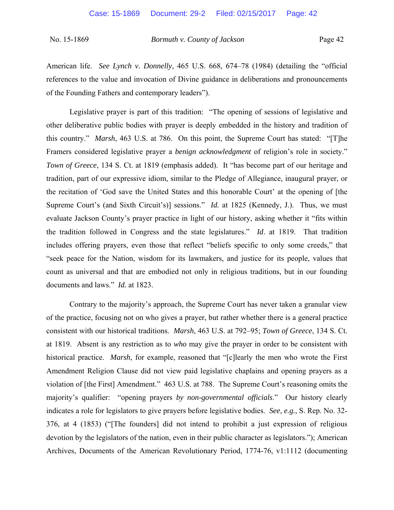American life. *See Lynch v. Donnelly*, 465 U.S. 668, 674–78 (1984) (detailing the "official references to the value and invocation of Divine guidance in deliberations and pronouncements of the Founding Fathers and contemporary leaders").

Legislative prayer is part of this tradition: "The opening of sessions of legislative and other deliberative public bodies with prayer is deeply embedded in the history and tradition of this country." *Marsh*, 463 U.S. at 786. On this point, the Supreme Court has stated: "[T]he Framers considered legislative prayer a *benign acknowledgment* of religion's role in society." *Town of Greece*, 134 S. Ct. at 1819 (emphasis added). It "has become part of our heritage and tradition, part of our expressive idiom, similar to the Pledge of Allegiance, inaugural prayer, or the recitation of 'God save the United States and this honorable Court' at the opening of [the Supreme Court's (and Sixth Circuit's)] sessions." *Id.* at 1825 (Kennedy, J.). Thus, we must evaluate Jackson County's prayer practice in light of our history, asking whether it "fits within the tradition followed in Congress and the state legislatures." *Id*. at 1819. That tradition includes offering prayers, even those that reflect "beliefs specific to only some creeds," that "seek peace for the Nation, wisdom for its lawmakers, and justice for its people, values that count as universal and that are embodied not only in religious traditions, but in our founding documents and laws." *Id.* at 1823.

Contrary to the majority's approach, the Supreme Court has never taken a granular view of the practice, focusing not on who gives a prayer, but rather whether there is a general practice consistent with our historical traditions. *Marsh*, 463 U.S. at 792–95; *Town of Greece*, 134 S. Ct. at 1819. Absent is any restriction as to *who* may give the prayer in order to be consistent with historical practice. *Marsh*, for example, reasoned that "[c]learly the men who wrote the First Amendment Religion Clause did not view paid legislative chaplains and opening prayers as a violation of [the First] Amendment." 463 U.S. at 788. The Supreme Court's reasoning omits the majority's qualifier: "opening prayers *by non-governmental officials*." Our history clearly indicates a role for legislators to give prayers before legislative bodies. *See*, *e.g.*, S. Rep. No. 32- 376, at 4 (1853) ("[The founders] did not intend to prohibit a just expression of religious devotion by the legislators of the nation, even in their public character as legislators."); American Archives, Documents of the American Revolutionary Period, 1774-76, v1:1112 (documenting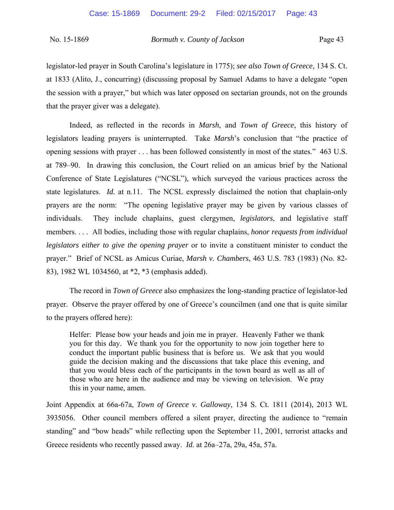legislator-led prayer in South Carolina's legislature in 1775); *see also Town of Greece*, 134 S. Ct. at 1833 (Alito, J., concurring) (discussing proposal by Samuel Adams to have a delegate "open the session with a prayer," but which was later opposed on sectarian grounds, not on the grounds that the prayer giver was a delegate).

Indeed, as reflected in the records in *Marsh*, and *Town of Greece*, this history of legislators leading prayers is uninterrupted. Take *Marsh*'s conclusion that "the practice of opening sessions with prayer . . . has been followed consistently in most of the states." 463 U.S. at 789–90. In drawing this conclusion, the Court relied on an amicus brief by the National Conference of State Legislatures ("NCSL"), which surveyed the various practices across the state legislatures. *Id.* at n.11. The NCSL expressly disclaimed the notion that chaplain-only prayers are the norm: "The opening legislative prayer may be given by various classes of individuals. They include chaplains, guest clergymen, *legislators*, and legislative staff members. . . . All bodies, including those with regular chaplains, *honor requests from individual legislators either to give the opening prayer* or to invite a constituent minister to conduct the prayer." Brief of NCSL as Amicus Curiae, *Marsh v. Chambers*, 463 U.S. 783 (1983) (No. 82- 83), 1982 WL 1034560, at \*2, \*3 (emphasis added).

The record in *Town of Greece* also emphasizes the long-standing practice of legislator-led prayer. Observe the prayer offered by one of Greece's councilmen (and one that is quite similar to the prayers offered here):

Helfer: Please bow your heads and join me in prayer. Heavenly Father we thank you for this day. We thank you for the opportunity to now join together here to conduct the important public business that is before us. We ask that you would guide the decision making and the discussions that take place this evening, and that you would bless each of the participants in the town board as well as all of those who are here in the audience and may be viewing on television. We pray this in your name, amen.

Joint Appendix at 66a-67a, *Town of Greece v. Galloway*, 134 S. Ct. 1811 (2014), 2013 WL 3935056. Other council members offered a silent prayer, directing the audience to "remain standing" and "bow heads" while reflecting upon the September 11, 2001, terrorist attacks and Greece residents who recently passed away. *Id.* at 26a–27a, 29a, 45a, 57a.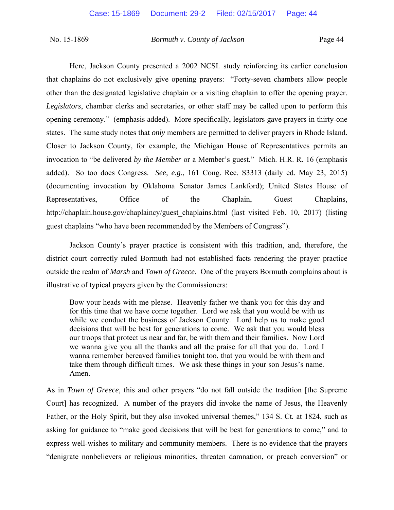Here, Jackson County presented a 2002 NCSL study reinforcing its earlier conclusion that chaplains do not exclusively give opening prayers: "Forty-seven chambers allow people other than the designated legislative chaplain or a visiting chaplain to offer the opening prayer. *Legislators*, chamber clerks and secretaries, or other staff may be called upon to perform this opening ceremony." (emphasis added). More specifically, legislators gave prayers in thirty-one states. The same study notes that *only* members are permitted to deliver prayers in Rhode Island. Closer to Jackson County, for example, the Michigan House of Representatives permits an invocation to "be delivered *by the Member* or a Member's guest." Mich. H.R. R. 16 (emphasis added). So too does Congress. *See*, *e.g*., 161 Cong. Rec. S3313 (daily ed. May 23, 2015) (documenting invocation by Oklahoma Senator James Lankford); United States House of Representatives, Office of the Chaplain, Guest Chaplains, http://chaplain.house.gov/chaplaincy/guest\_chaplains.html (last visited Feb. 10, 2017) (listing guest chaplains "who have been recommended by the Members of Congress").

 Jackson County's prayer practice is consistent with this tradition, and, therefore, the district court correctly ruled Bormuth had not established facts rendering the prayer practice outside the realm of *Marsh* and *Town of Greece*. One of the prayers Bormuth complains about is illustrative of typical prayers given by the Commissioners:

Bow your heads with me please. Heavenly father we thank you for this day and for this time that we have come together. Lord we ask that you would be with us while we conduct the business of Jackson County. Lord help us to make good decisions that will be best for generations to come. We ask that you would bless our troops that protect us near and far, be with them and their families. Now Lord we wanna give you all the thanks and all the praise for all that you do. Lord I wanna remember bereaved families tonight too, that you would be with them and take them through difficult times. We ask these things in your son Jesus's name. Amen.

As in *Town of Greece*, this and other prayers "do not fall outside the tradition [the Supreme Court] has recognized. A number of the prayers did invoke the name of Jesus, the Heavenly Father, or the Holy Spirit, but they also invoked universal themes," 134 S. Ct*.* at 1824, such as asking for guidance to "make good decisions that will be best for generations to come," and to express well-wishes to military and community members. There is no evidence that the prayers "denigrate nonbelievers or religious minorities, threaten damnation, or preach conversion" or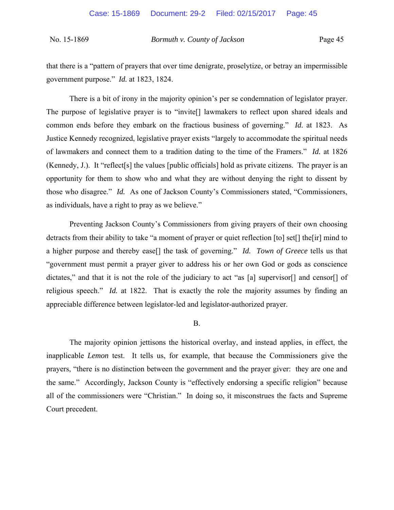that there is a "pattern of prayers that over time denigrate, proselytize, or betray an impermissible government purpose." *Id.* at 1823, 1824.

There is a bit of irony in the majority opinion's per se condemnation of legislator prayer. The purpose of legislative prayer is to "invite[] lawmakers to reflect upon shared ideals and common ends before they embark on the fractious business of governing." *Id.* at 1823. As Justice Kennedy recognized, legislative prayer exists "largely to accommodate the spiritual needs of lawmakers and connect them to a tradition dating to the time of the Framers." *Id.* at 1826 (Kennedy, J.). It "reflect[s] the values [public officials] hold as private citizens. The prayer is an opportunity for them to show who and what they are without denying the right to dissent by those who disagree." *Id.* As one of Jackson County's Commissioners stated, "Commissioners, as individuals, have a right to pray as we believe."

Preventing Jackson County's Commissioners from giving prayers of their own choosing detracts from their ability to take "a moment of prayer or quiet reflection [to] set[] the[ir] mind to a higher purpose and thereby ease[] the task of governing." *Id. Town of Greece* tells us that "government must permit a prayer giver to address his or her own God or gods as conscience dictates," and that it is not the role of the judiciary to act "as [a] supervisor<sup>[]</sup> and censor<sup>[]</sup> of religious speech." *Id.* at 1822. That is exactly the role the majority assumes by finding an appreciable difference between legislator-led and legislator-authorized prayer.

### B.

 The majority opinion jettisons the historical overlay, and instead applies, in effect, the inapplicable *Lemon* test. It tells us, for example, that because the Commissioners give the prayers, "there is no distinction between the government and the prayer giver: they are one and the same." Accordingly, Jackson County is "effectively endorsing a specific religion" because all of the commissioners were "Christian." In doing so, it misconstrues the facts and Supreme Court precedent.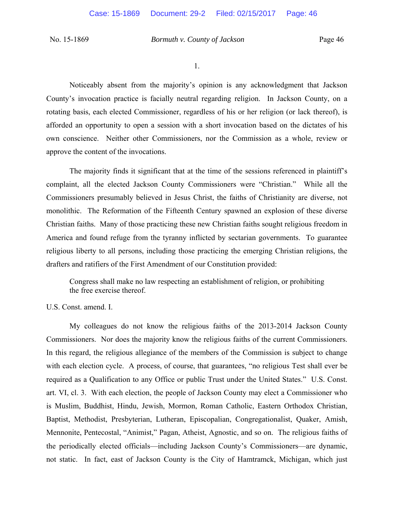1.

 Noticeably absent from the majority's opinion is any acknowledgment that Jackson County's invocation practice is facially neutral regarding religion. In Jackson County, on a rotating basis, each elected Commissioner, regardless of his or her religion (or lack thereof), is afforded an opportunity to open a session with a short invocation based on the dictates of his own conscience. Neither other Commissioners, nor the Commission as a whole, review or approve the content of the invocations.

The majority finds it significant that at the time of the sessions referenced in plaintiff's complaint, all the elected Jackson County Commissioners were "Christian." While all the Commissioners presumably believed in Jesus Christ, the faiths of Christianity are diverse, not monolithic. The Reformation of the Fifteenth Century spawned an explosion of these diverse Christian faiths. Many of those practicing these new Christian faiths sought religious freedom in America and found refuge from the tyranny inflicted by sectarian governments. To guarantee religious liberty to all persons, including those practicing the emerging Christian religions, the drafters and ratifiers of the First Amendment of our Constitution provided:

Congress shall make no law respecting an establishment of religion, or prohibiting the free exercise thereof.

U.S. Const. amend. I.

 My colleagues do not know the religious faiths of the 2013-2014 Jackson County Commissioners. Nor does the majority know the religious faiths of the current Commissioners. In this regard, the religious allegiance of the members of the Commission is subject to change with each election cycle. A process, of course, that guarantees, "no religious Test shall ever be required as a Qualification to any Office or public Trust under the United States." U.S. Const. art. VI, cl. 3. With each election, the people of Jackson County may elect a Commissioner who is Muslim, Buddhist, Hindu, Jewish, Mormon, Roman Catholic, Eastern Orthodox Christian, Baptist, Methodist, Presbyterian, Lutheran, Episcopalian, Congregationalist, Quaker, Amish, Mennonite, Pentecostal, "Animist," Pagan, Atheist, Agnostic, and so on. The religious faiths of the periodically elected officials—including Jackson County's Commissioners—are dynamic, not static. In fact, east of Jackson County is the City of Hamtramck, Michigan, which just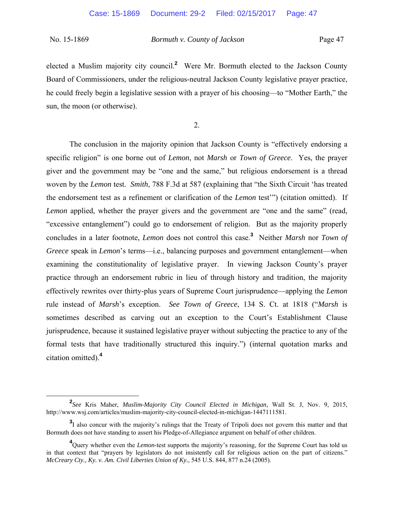elected a Muslim majority city council.**<sup>2</sup>** Were Mr. Bormuth elected to the Jackson County Board of Commissioners, under the religious-neutral Jackson County legislative prayer practice, he could freely begin a legislative session with a prayer of his choosing—to "Mother Earth," the sun, the moon (or otherwise).

2.

 The conclusion in the majority opinion that Jackson County is "effectively endorsing a specific religion" is one borne out of *Lemon*, not *Marsh* or *Town of Greece*. Yes, the prayer giver and the government may be "one and the same," but religious endorsement is a thread woven by the *Lemon* test. *Smith*, 788 F.3d at 587 (explaining that "the Sixth Circuit 'has treated the endorsement test as a refinement or clarification of the *Lemon* test'") (citation omitted). If *Lemon* applied, whether the prayer givers and the government are "one and the same" (read, "excessive entanglement") could go to endorsement of religion. But as the majority properly concludes in a later footnote, *Lemon* does not control this case.**<sup>3</sup>** Neither *Marsh* nor *Town of Greece* speak in *Lemon*'s terms—i.e., balancing purposes and government entanglement—when examining the constitutionality of legislative prayer. In viewing Jackson County's prayer practice through an endorsement rubric in lieu of through history and tradition, the majority effectively rewrites over thirty-plus years of Supreme Court jurisprudence—applying the *Lemon* rule instead of *Marsh*'s exception. *See Town of Greece*, 134 S. Ct. at 1818 ("*Marsh* is sometimes described as carving out an exception to the Court's Establishment Clause jurisprudence, because it sustained legislative prayer without subjecting the practice to any of the formal tests that have traditionally structured this inquiry.") (internal quotation marks and citation omitted).**<sup>4</sup>**

**<sup>2</sup>** *See* Kris Maher, *Muslim-Majority City Council Elected in Michigan*, Wall St. J, Nov. 9, 2015, http://www.wsj.com/articles/muslim-majority-city-council-elected-in-michigan-1447111581.

<sup>&</sup>lt;sup>3</sup>I also concur with the majority's rulings that the Treaty of Tripoli does not govern this matter and that Bormuth does not have standing to assert his Pledge-of-Allegiance argument on behalf of other children.

<sup>&</sup>lt;sup>4</sup>Query whether even the *Lemon*-test supports the majority's reasoning, for the Supreme Court has told us in that context that "prayers by legislators do not insistently call for religious action on the part of citizens." *McCreary Cty., Ky. v. Am. Civil Liberties Union of Ky.*, 545 U.S. 844, 877 n.24 (2005).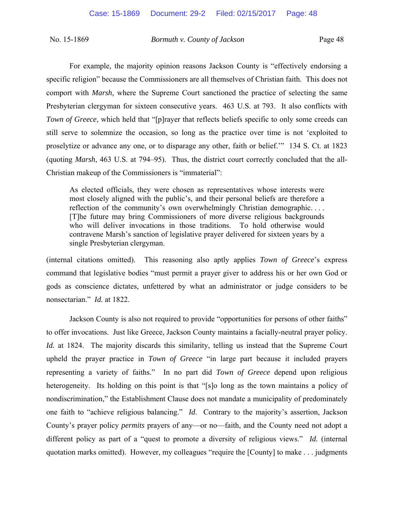For example, the majority opinion reasons Jackson County is "effectively endorsing a specific religion" because the Commissioners are all themselves of Christian faith. This does not comport with *Marsh*, where the Supreme Court sanctioned the practice of selecting the same Presbyterian clergyman for sixteen consecutive years. 463 U.S. at 793. It also conflicts with *Town of Greece*, which held that "[p]rayer that reflects beliefs specific to only some creeds can still serve to solemnize the occasion, so long as the practice over time is not 'exploited to proselytize or advance any one, or to disparage any other, faith or belief.'" 134 S. Ct. at 1823 (quoting *Marsh*, 463 U.S. at 794–95). Thus, the district court correctly concluded that the all-Christian makeup of the Commissioners is "immaterial":

As elected officials, they were chosen as representatives whose interests were most closely aligned with the public's, and their personal beliefs are therefore a reflection of the community's own overwhelmingly Christian demographic.... [T]he future may bring Commissioners of more diverse religious backgrounds who will deliver invocations in those traditions. To hold otherwise would contravene Marsh's sanction of legislative prayer delivered for sixteen years by a single Presbyterian clergyman.

(internal citations omitted). This reasoning also aptly applies *Town of Greece*'s express command that legislative bodies "must permit a prayer giver to address his or her own God or gods as conscience dictates, unfettered by what an administrator or judge considers to be nonsectarian." *Id.* at 1822.

 Jackson County is also not required to provide "opportunities for persons of other faiths" to offer invocations. Just like Greece, Jackson County maintains a facially-neutral prayer policy. *Id.* at 1824. The majority discards this similarity, telling us instead that the Supreme Court upheld the prayer practice in *Town of Greece* "in large part because it included prayers representing a variety of faiths." In no part did *Town of Greece* depend upon religious heterogeneity. Its holding on this point is that "[s]o long as the town maintains a policy of nondiscrimination," the Establishment Clause does not mandate a municipality of predominately one faith to "achieve religious balancing." *Id*. Contrary to the majority's assertion, Jackson County's prayer policy *permits* prayers of any—or no—faith, and the County need not adopt a different policy as part of a "quest to promote a diversity of religious views." *Id.* (internal quotation marks omitted). However, my colleagues "require the [County] to make . . . judgments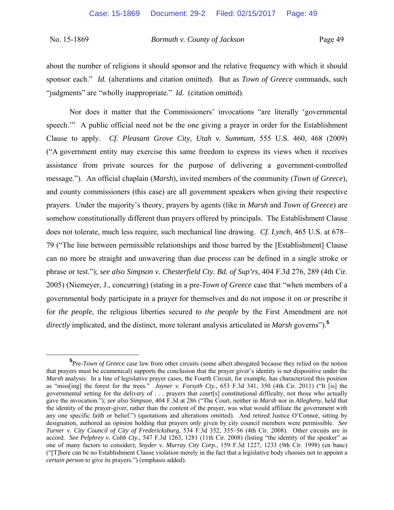about the number of religions it should sponsor and the relative frequency with which it should sponsor each." *Id.* (alterations and citation omitted). But as *Town of Greece* commands, such "judgments" are "wholly inappropriate." *Id.* (citation omitted).

Nor does it matter that the Commissioners' invocations "are literally 'governmental speech." A public official need not be the one giving a prayer in order for the Establishment Clause to apply. *Cf. Pleasant Grove City, Utah v. Summum*, 555 U.S. 460, 468 (2009) ("A government entity may exercise this same freedom to express its views when it receives assistance from private sources for the purpose of delivering a government-controlled message."). An official chaplain (*Marsh*), invited members of the community (*Town of Greece*), and county commissioners (this case) are all government speakers when giving their respective prayers. Under the majority's theory, prayers by agents (like in *Marsh* and *Town of Greece*) are somehow constitutionally different than prayers offered by principals. The Establishment Clause does not tolerate, much less require, such mechanical line drawing. *Cf. Lynch*, 465 U.S. at 678– 79 ("The line between permissible relationships and those barred by the [Establishment] Clause can no more be straight and unwavering than due process can be defined in a single stroke or phrase or test."); *see also Simpson v. Chesterfield Cty. Bd. of Sup'rs*, 404 F.3d 276, 289 (4th Cir. 2005) (Niemeyer, J., concurring) (stating in a pre-*Town of Greece* case that "when members of a governmental body participate in a prayer for themselves and do not impose it on or prescribe it for *the people*, the religious liberties secured *to the people* by the First Amendment are not *directly* implicated, and the distinct, more tolerant analysis articulated in *Marsh* governs").**<sup>5</sup>**

**<sup>5</sup>** <sup>5</sup>Pre-*Town of Greece* case law from other circuits (some albeit abrogated because they relied on the notion that prayers must be ecumenical) supports the conclusion that the prayer giver's identity is not dispositive under the *Marsh* analysis. In a line of legislative prayer cases, the Fourth Circuit, for example, has characterized this position as "miss[ing] the forest for the trees." *Joyner v. Forsyth Cty.*, 653 F.3d 341, 350 (4th Cir. 2011) ("It [is] the governmental setting for the delivery of . . . prayers that court[s] constitutional difficulty, not those who actually gave the invocation."); *see also Simpson*, 404 F.3d at 286 ("The Court, neither in *Marsh* nor in *Allegheny*, held that the identity of the prayer-giver, rather than the content of the prayer, was what would affiliate the government with any one specific faith or belief.") (quotations and alterations omitted). And retired Justice O'Connor, sitting by designation, authored an opinion holding that prayers *only* given by city council members were permissible. *See Turner v. City Council of City of Fredericksburg*, 534 F.3d 352, 355–56 (4th Cir. 2008). Other circuits are in accord. *See Pelphrey v. Cobb Cty.*, 547 F.3d 1263, 1281 (11th Cir. 2008) (listing "the identity of the speaker" as one of many factors to consider); *Snyder v. Murray City Corp.*, 159 F.3d 1227, 1233 (9th Cir. 1998) (en banc) ("[T]here can be no Establishment Clause violation merely in the fact that a legislative body chooses not to appoint a *certain person* to give its prayers.") (emphasis added).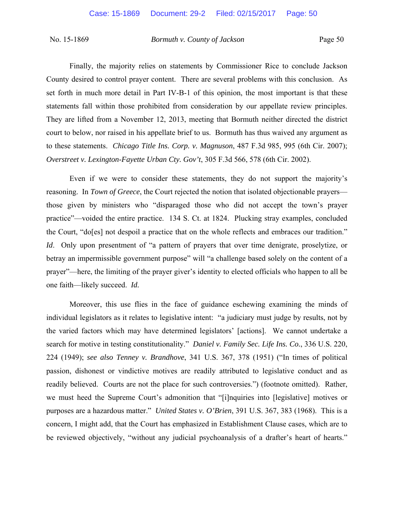Finally, the majority relies on statements by Commissioner Rice to conclude Jackson County desired to control prayer content. There are several problems with this conclusion. As set forth in much more detail in Part IV-B-1 of this opinion, the most important is that these statements fall within those prohibited from consideration by our appellate review principles. They are lifted from a November 12, 2013, meeting that Bormuth neither directed the district court to below, nor raised in his appellate brief to us. Bormuth has thus waived any argument as to these statements. *Chicago Title Ins. Corp. v. Magnuson*, 487 F.3d 985, 995 (6th Cir. 2007); *Overstreet v. Lexington-Fayette Urban Cty. Gov't*, 305 F.3d 566, 578 (6th Cir. 2002).

 Even if we were to consider these statements, they do not support the majority's reasoning. In *Town of Greece*, the Court rejected the notion that isolated objectionable prayers those given by ministers who "disparaged those who did not accept the town's prayer practice"—voided the entire practice. 134 S. Ct. at 1824. Plucking stray examples, concluded the Court, "do[es] not despoil a practice that on the whole reflects and embraces our tradition." *Id*. Only upon presentment of "a pattern of prayers that over time denigrate, proselytize, or betray an impermissible government purpose" will "a challenge based solely on the content of a prayer"—here, the limiting of the prayer giver's identity to elected officials who happen to all be one faith—likely succeed. *Id.*

 Moreover, this use flies in the face of guidance eschewing examining the minds of individual legislators as it relates to legislative intent: "a judiciary must judge by results, not by the varied factors which may have determined legislators' [actions]. We cannot undertake a search for motive in testing constitutionality." *Daniel v. Family Sec. Life Ins. Co.*, 336 U.S. 220, 224 (1949); *see also Tenney v. Brandhove*, 341 U.S. 367, 378 (1951) ("In times of political passion, dishonest or vindictive motives are readily attributed to legislative conduct and as readily believed. Courts are not the place for such controversies.") (footnote omitted). Rather, we must heed the Supreme Court's admonition that "[i]nquiries into [legislative] motives or purposes are a hazardous matter." *United States v. O'Brien*, 391 U.S. 367, 383 (1968). This is a concern, I might add, that the Court has emphasized in Establishment Clause cases, which are to be reviewed objectively, "without any judicial psychoanalysis of a drafter's heart of hearts."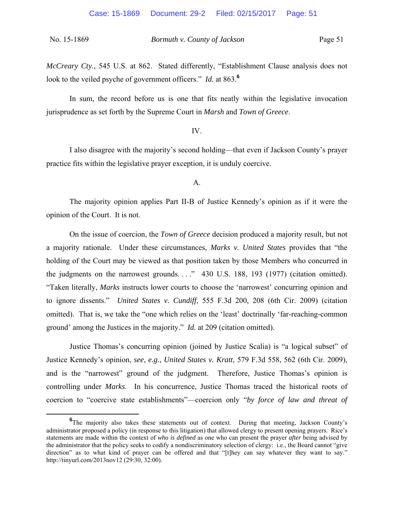*McCreary Cty.*, 545 U.S. at 862. Stated differently, "Establishment Clause analysis does not look to the veiled psyche of government officers." *Id.* at 863.**<sup>6</sup>**

In sum, the record before us is one that fits neatly within the legislative invocation jurisprudence as set forth by the Supreme Court in *Marsh* and *Town of Greece*.

#### IV.

I also disagree with the majority's second holding—that even if Jackson County's prayer practice fits within the legislative prayer exception, it is unduly coercive.

A.

The majority opinion applies Part II-B of Justice Kennedy's opinion as if it were the opinion of the Court. It is not.

On the issue of coercion, the *Town of Greece* decision produced a majority result, but not a majority rationale. Under these circumstances, *Marks v. United States* provides that "the holding of the Court may be viewed as that position taken by those Members who concurred in the judgments on the narrowest grounds...." 430 U.S. 188, 193 (1977) (citation omitted). "Taken literally, *Marks* instructs lower courts to choose the 'narrowest' concurring opinion and to ignore dissents." *United States v. Cundiff*, 555 F.3d 200, 208 (6th Cir. 2009) (citation omitted). That is, we take the "one which relies on the 'least' doctrinally 'far-reaching-common ground' among the Justices in the majority." *Id.* at 209 (citation omitted).

 Justice Thomas's concurring opinion (joined by Justice Scalia) is "a logical subset" of Justice Kennedy's opinion, *see*, *e.g.*, *United States v. Kratt*, 579 F.3d 558, 562 (6th Cir. 2009), and is the "narrowest" ground of the judgment. Therefore, Justice Thomas's opinion is controlling under *Marks*. In his concurrence, Justice Thomas traced the historical roots of coercion to "coercive state establishments"—coercion only "*by force of law and threat of* 

**<sup>6</sup>** <sup>6</sup>The majority also takes these statements out of context. During that meeting, Jackson County's administrator proposed a policy (in response to this litigation) that allowed clergy to present opening prayers. Rice's statements are made within the context of *who is defined* as one who can present the prayer *after* being advised by the administrator that the policy seeks to codify a nondiscriminatory selection of clergy: i.e., the Board cannot "give direction" as to what kind of prayer can be offered and that "[t]hey can say whatever they want to say." http://tinyurl.com/2013nov12 (29:30, 32:00).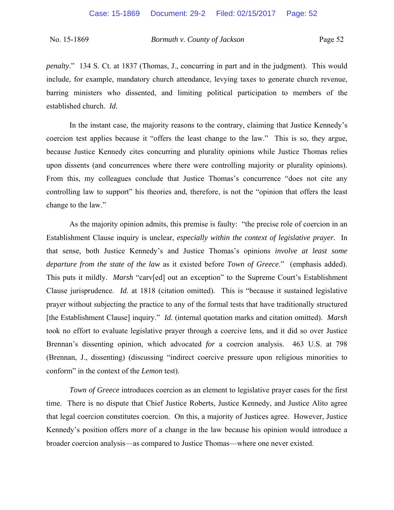*penalty*." 134 S. Ct. at 1837 (Thomas, J., concurring in part and in the judgment). This would include, for example, mandatory church attendance, levying taxes to generate church revenue, barring ministers who dissented, and limiting political participation to members of the established church. *Id.*

 In the instant case, the majority reasons to the contrary, claiming that Justice Kennedy's coercion test applies because it "offers the least change to the law." This is so, they argue, because Justice Kennedy cites concurring and plurality opinions while Justice Thomas relies upon dissents (and concurrences where there were controlling majority or plurality opinions). From this, my colleagues conclude that Justice Thomas's concurrence "does not cite any controlling law to support" his theories and, therefore, is not the "opinion that offers the least change to the law."

As the majority opinion admits, this premise is faulty: "the precise role of coercion in an Establishment Clause inquiry is unclear, *especially within the context of legislative prayer.* In that sense, both Justice Kennedy's and Justice Thomas's opinions *involve at least some departure from the state of the law* as it existed before *Town of Greece*." (emphasis added). This puts it mildly. *Marsh* "carv[ed] out an exception" to the Supreme Court's Establishment Clause jurisprudence. *Id.* at 1818 (citation omitted). This is "because it sustained legislative prayer without subjecting the practice to any of the formal tests that have traditionally structured [the Establishment Clause] inquiry." *Id.* (internal quotation marks and citation omitted). *Marsh*  took no effort to evaluate legislative prayer through a coercive lens, and it did so over Justice Brennan's dissenting opinion, which advocated *for* a coercion analysis. 463 U.S. at 798 (Brennan, J., dissenting) (discussing "indirect coercive pressure upon religious minorities to conform" in the context of the *Lemon* test).

*Town of Greece* introduces coercion as an element to legislative prayer cases for the first time. There is no dispute that Chief Justice Roberts, Justice Kennedy, and Justice Alito agree that legal coercion constitutes coercion. On this, a majority of Justices agree. However, Justice Kennedy's position offers *more* of a change in the law because his opinion would introduce a broader coercion analysis—as compared to Justice Thomas—where one never existed.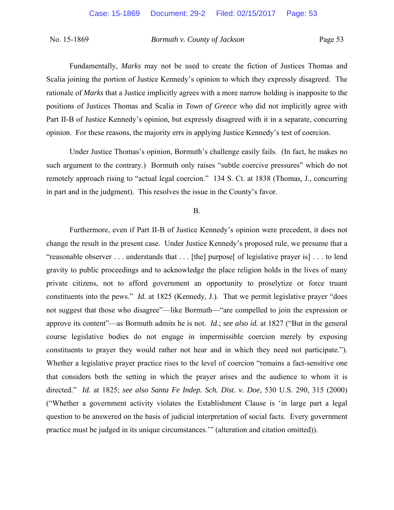Fundamentally, *Marks* may not be used to create the fiction of Justices Thomas and Scalia joining the portion of Justice Kennedy's opinion to which they expressly disagreed. The rationale of *Marks* that a Justice implicitly agrees with a more narrow holding is inapposite to the positions of Justices Thomas and Scalia in *Town of Greece* who did not implicitly agree with Part II-B of Justice Kennedy's opinion, but expressly disagreed with it in a separate, concurring opinion. For these reasons, the majority errs in applying Justice Kennedy's test of coercion.

Under Justice Thomas's opinion, Bormuth's challenge easily fails. (In fact, he makes no such argument to the contrary.) Bormuth only raises "subtle coercive pressures" which do not remotely approach rising to "actual legal coercion." 134 S. Ct. at 1838 (Thomas, J., concurring in part and in the judgment). This resolves the issue in the County's favor.

B.

Furthermore, even if Part II-B of Justice Kennedy's opinion were precedent, it does not change the result in the present case. Under Justice Kennedy's proposed rule, we presume that a "reasonable observer . . . understands that . . . [the] purpose[ of legislative prayer is] . . . to lend gravity to public proceedings and to acknowledge the place religion holds in the lives of many private citizens, not to afford government an opportunity to proselytize or force truant constituents into the pews." *Id.* at 1825 (Kennedy, J.). That we permit legislative prayer "does not suggest that those who disagree"—like Bormuth—"are compelled to join the expression or approve its content"—as Bormuth admits he is not. *Id.*; *see also id.* at 1827 ("But in the general course legislative bodies do not engage in impermissible coercion merely by exposing constituents to prayer they would rather not hear and in which they need not participate."). Whether a legislative prayer practice rises to the level of coercion "remains a fact-sensitive one that considers both the setting in which the prayer arises and the audience to whom it is directed." *Id.* at 1825; *see also Santa Fe Indep. Sch. Dist. v. Doe*, 530 U.S. 290, 315 (2000) ("Whether a government activity violates the Establishment Clause is 'in large part a legal question to be answered on the basis of judicial interpretation of social facts. Every government practice must be judged in its unique circumstances.'" (alteration and citation omitted)).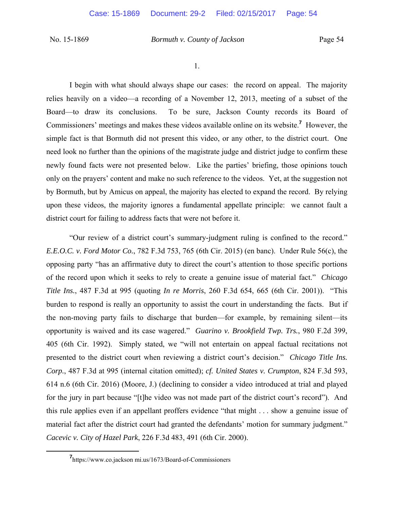1.

I begin with what should always shape our cases: the record on appeal. The majority relies heavily on a video—a recording of a November 12, 2013, meeting of a subset of the Board—to draw its conclusions. To be sure, Jackson County records its Board of Commissioners' meetings and makes these videos available online on its website.**<sup>7</sup>** However, the simple fact is that Bormuth did not present this video, or any other, to the district court. One need look no further than the opinions of the magistrate judge and district judge to confirm these newly found facts were not presented below. Like the parties' briefing, those opinions touch only on the prayers' content and make no such reference to the videos. Yet, at the suggestion not by Bormuth, but by Amicus on appeal, the majority has elected to expand the record. By relying upon these videos, the majority ignores a fundamental appellate principle: we cannot fault a district court for failing to address facts that were not before it.

"Our review of a district court's summary-judgment ruling is confined to the record." *E.E.O.C. v. Ford Motor Co.*, 782 F.3d 753, 765 (6th Cir. 2015) (en banc). Under Rule 56(c), the opposing party "has an affirmative duty to direct the court's attention to those specific portions of the record upon which it seeks to rely to create a genuine issue of material fact." *Chicago Title Ins.*, 487 F.3d at 995 (quoting *In re Morris*, 260 F.3d 654, 665 (6th Cir. 2001)). "This burden to respond is really an opportunity to assist the court in understanding the facts. But if the non-moving party fails to discharge that burden—for example, by remaining silent—its opportunity is waived and its case wagered." *Guarino v. Brookfield Twp. Trs.*, 980 F.2d 399, 405 (6th Cir. 1992). Simply stated, we "will not entertain on appeal factual recitations not presented to the district court when reviewing a district court's decision." *Chicago Title Ins. Corp.*, 487 F.3d at 995 (internal citation omitted); *cf. United States v. Crumpton*, 824 F.3d 593, 614 n.6 (6th Cir. 2016) (Moore, J.) (declining to consider a video introduced at trial and played for the jury in part because "[t]he video was not made part of the district court's record"). And this rule applies even if an appellant proffers evidence "that might . . . show a genuine issue of material fact after the district court had granted the defendants' motion for summary judgment." *Cacevic v. City of Hazel Park*, 226 F.3d 483, 491 (6th Cir. 2000).

**<sup>7</sup>** https://www.co.jackson mi.us/1673/Board-of-Commissioners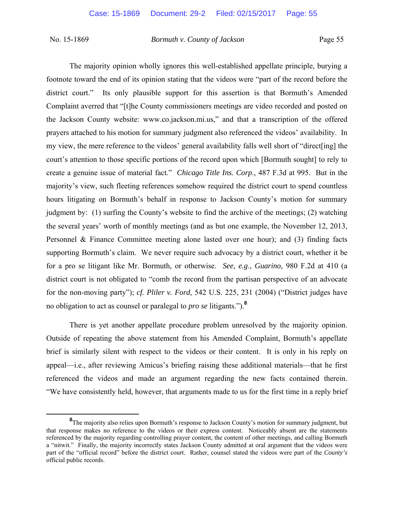The majority opinion wholly ignores this well-established appellate principle, burying a footnote toward the end of its opinion stating that the videos were "part of the record before the district court." Its only plausible support for this assertion is that Bormuth's Amended Complaint averred that "[t]he County commissioners meetings are video recorded and posted on the Jackson County website: www.co.jackson.mi.us," and that a transcription of the offered prayers attached to his motion for summary judgment also referenced the videos' availability. In my view, the mere reference to the videos' general availability falls well short of "direct[ing] the court's attention to those specific portions of the record upon which [Bormuth sought] to rely to create a genuine issue of material fact." *Chicago Title Ins. Corp.*, 487 F.3d at 995. But in the majority's view, such fleeting references somehow required the district court to spend countless hours litigating on Bormuth's behalf in response to Jackson County's motion for summary judgment by: (1) surfing the County's website to find the archive of the meetings; (2) watching the several years' worth of monthly meetings (and as but one example, the November 12, 2013, Personnel & Finance Committee meeting alone lasted over one hour); and (3) finding facts supporting Bormuth's claim. We never require such advocacy by a district court, whether it be for a pro se litigant like Mr. Bormuth, or otherwise. *See*, *e.g*., *Guarino*, 980 F.2d at 410 (a district court is not obligated to "comb the record from the partisan perspective of an advocate for the non-moving party"); *cf. Pliler v. Ford*, 542 U.S. 225, 231 (2004) ("District judges have no obligation to act as counsel or paralegal to *pro se* litigants.").**<sup>8</sup>**

There is yet another appellate procedure problem unresolved by the majority opinion. Outside of repeating the above statement from his Amended Complaint, Bormuth's appellate brief is similarly silent with respect to the videos or their content. It is only in his reply on appeal—i.e., after reviewing Amicus's briefing raising these additional materials—that he first referenced the videos and made an argument regarding the new facts contained therein. "We have consistently held, however, that arguments made to us for the first time in a reply brief

**<sup>8</sup>** <sup>8</sup>The majority also relies upon Bormuth's response to Jackson County's motion for summary judgment, but that response makes no reference to the videos or their express content. Noticeably absent are the statements referenced by the majority regarding controlling prayer content, the content of other meetings, and calling Bormuth a "nitwit." Finally, the majority incorrectly states Jackson County admitted at oral argument that the videos were part of the "official record" before the district court. Rather, counsel stated the videos were part of the *County's* official public records.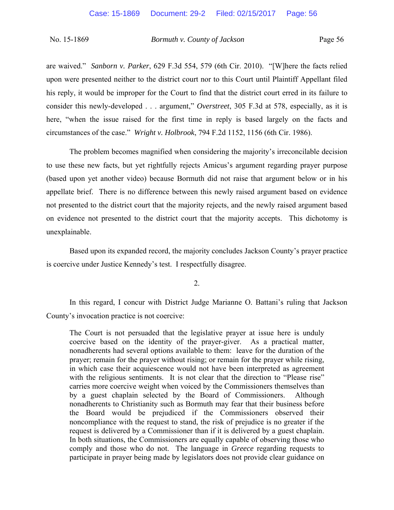are waived." *Sanborn v. Parker*, 629 F.3d 554, 579 (6th Cir. 2010). "[W]here the facts relied upon were presented neither to the district court nor to this Court until Plaintiff Appellant filed his reply, it would be improper for the Court to find that the district court erred in its failure to consider this newly-developed . . . argument," *Overstreet*, 305 F.3d at 578, especially, as it is here, "when the issue raised for the first time in reply is based largely on the facts and circumstances of the case." *Wright v. Holbrook*, 794 F.2d 1152, 1156 (6th Cir. 1986).

The problem becomes magnified when considering the majority's irreconcilable decision to use these new facts, but yet rightfully rejects Amicus's argument regarding prayer purpose (based upon yet another video) because Bormuth did not raise that argument below or in his appellate brief. There is no difference between this newly raised argument based on evidence not presented to the district court that the majority rejects, and the newly raised argument based on evidence not presented to the district court that the majority accepts. This dichotomy is unexplainable.

Based upon its expanded record, the majority concludes Jackson County's prayer practice is coercive under Justice Kennedy's test. I respectfully disagree.

2.

 In this regard, I concur with District Judge Marianne O. Battani's ruling that Jackson County's invocation practice is not coercive:

The Court is not persuaded that the legislative prayer at issue here is unduly coercive based on the identity of the prayer-giver. As a practical matter, nonadherents had several options available to them: leave for the duration of the prayer; remain for the prayer without rising; or remain for the prayer while rising, in which case their acquiescence would not have been interpreted as agreement with the religious sentiments. It is not clear that the direction to "Please rise" carries more coercive weight when voiced by the Commissioners themselves than by a guest chaplain selected by the Board of Commissioners. Although nonadherents to Christianity such as Bormuth may fear that their business before the Board would be prejudiced if the Commissioners observed their noncompliance with the request to stand, the risk of prejudice is no greater if the request is delivered by a Commissioner than if it is delivered by a guest chaplain. In both situations, the Commissioners are equally capable of observing those who comply and those who do not. The language in *Greece* regarding requests to participate in prayer being made by legislators does not provide clear guidance on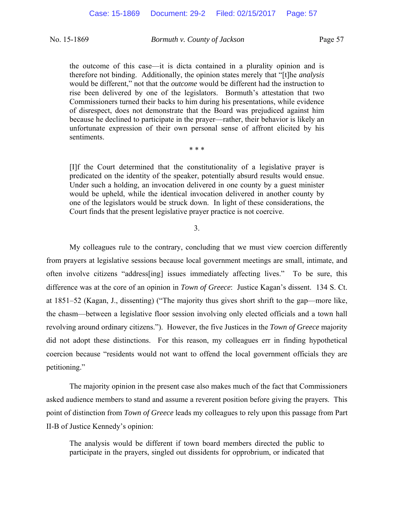the outcome of this case—it is dicta contained in a plurality opinion and is therefore not binding. Additionally, the opinion states merely that "[t]he *analysis* would be different," not that the *outcome* would be different had the instruction to rise been delivered by one of the legislators. Bormuth's attestation that two Commissioners turned their backs to him during his presentations, while evidence of disrespect, does not demonstrate that the Board was prejudiced against him because he declined to participate in the prayer—rather, their behavior is likely an unfortunate expression of their own personal sense of affront elicited by his sentiments.

\* \* \*

[I]f the Court determined that the constitutionality of a legislative prayer is predicated on the identity of the speaker, potentially absurd results would ensue. Under such a holding, an invocation delivered in one county by a guest minister would be upheld, while the identical invocation delivered in another county by one of the legislators would be struck down. In light of these considerations, the Court finds that the present legislative prayer practice is not coercive.

3.

My colleagues rule to the contrary, concluding that we must view coercion differently from prayers at legislative sessions because local government meetings are small, intimate, and often involve citizens "address[ing] issues immediately affecting lives." To be sure, this difference was at the core of an opinion in *Town of Greece*: Justice Kagan's dissent. 134 S. Ct. at 1851–52 (Kagan, J., dissenting) ("The majority thus gives short shrift to the gap—more like, the chasm—between a legislative floor session involving only elected officials and a town hall revolving around ordinary citizens."). However, the five Justices in the *Town of Greece* majority did not adopt these distinctions. For this reason, my colleagues err in finding hypothetical coercion because "residents would not want to offend the local government officials they are petitioning."

The majority opinion in the present case also makes much of the fact that Commissioners asked audience members to stand and assume a reverent position before giving the prayers. This point of distinction from *Town of Greece* leads my colleagues to rely upon this passage from Part II-B of Justice Kennedy's opinion:

The analysis would be different if town board members directed the public to participate in the prayers, singled out dissidents for opprobrium, or indicated that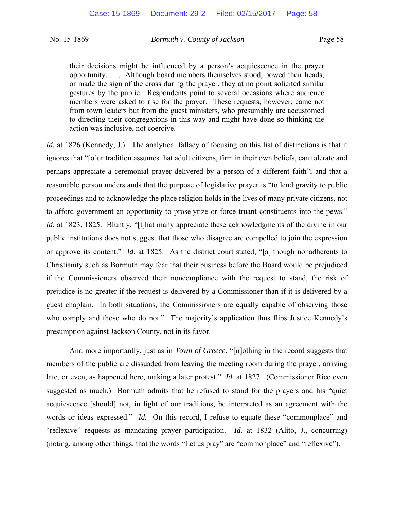their decisions might be influenced by a person's acquiescence in the prayer opportunity. . . . Although board members themselves stood, bowed their heads, or made the sign of the cross during the prayer, they at no point solicited similar gestures by the public. Respondents point to several occasions where audience members were asked to rise for the prayer. These requests, however, came not from town leaders but from the guest ministers, who presumably are accustomed to directing their congregations in this way and might have done so thinking the action was inclusive, not coercive.

*Id.* at 1826 (Kennedy, J.). The analytical fallacy of focusing on this list of distinctions is that it ignores that "[o]ur tradition assumes that adult citizens, firm in their own beliefs, can tolerate and perhaps appreciate a ceremonial prayer delivered by a person of a different faith"; and that a reasonable person understands that the purpose of legislative prayer is "to lend gravity to public proceedings and to acknowledge the place religion holds in the lives of many private citizens, not to afford government an opportunity to proselytize or force truant constituents into the pews." *Id.* at 1823, 1825. Bluntly, "[t]hat many appreciate these acknowledgments of the divine in our public institutions does not suggest that those who disagree are compelled to join the expression or approve its content." *Id*. at 1825. As the district court stated, "[a]lthough nonadherents to Christianity such as Bormuth may fear that their business before the Board would be prejudiced if the Commissioners observed their noncompliance with the request to stand, the risk of prejudice is no greater if the request is delivered by a Commissioner than if it is delivered by a guest chaplain. In both situations, the Commissioners are equally capable of observing those who comply and those who do not." The majority's application thus flips Justice Kennedy's presumption against Jackson County, not in its favor.

 And more importantly, just as in *Town of Greece*, "[n]othing in the record suggests that members of the public are dissuaded from leaving the meeting room during the prayer, arriving late, or even, as happened here, making a later protest." *Id.* at 1827. (Commissioner Rice even suggested as much.) Bormuth admits that he refused to stand for the prayers and his "quiet acquiescence [should] not, in light of our traditions, be interpreted as an agreement with the words or ideas expressed." *Id.* On this record, I refuse to equate these "commonplace" and "reflexive" requests as mandating prayer participation. *Id.* at 1832 (Alito, J., concurring) (noting, among other things, that the words "Let us pray" are "commonplace" and "reflexive").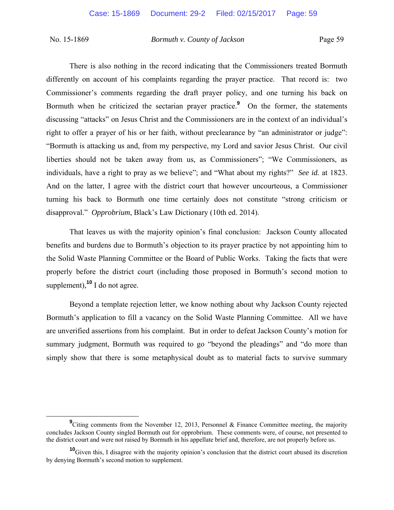There is also nothing in the record indicating that the Commissioners treated Bormuth differently on account of his complaints regarding the prayer practice. That record is: two Commissioner's comments regarding the draft prayer policy, and one turning his back on Bormuth when he criticized the sectarian prayer practice.<sup>9</sup> On the former, the statements discussing "attacks" on Jesus Christ and the Commissioners are in the context of an individual's right to offer a prayer of his or her faith, without preclearance by "an administrator or judge": "Bormuth is attacking us and, from my perspective, my Lord and savior Jesus Christ. Our civil liberties should not be taken away from us, as Commissioners"; "We Commissioners, as individuals, have a right to pray as we believe"; and "What about my rights?" *See id.* at 1823. And on the latter, I agree with the district court that however uncourteous, a Commissioner turning his back to Bormuth one time certainly does not constitute "strong criticism or disapproval." *Opprobrium*, Black's Law Dictionary (10th ed. 2014).

 That leaves us with the majority opinion's final conclusion: Jackson County allocated benefits and burdens due to Bormuth's objection to its prayer practice by not appointing him to the Solid Waste Planning Committee or the Board of Public Works. Taking the facts that were properly before the district court (including those proposed in Bormuth's second motion to supplement),<sup>10</sup> I do not agree.

 Beyond a template rejection letter, we know nothing about why Jackson County rejected Bormuth's application to fill a vacancy on the Solid Waste Planning Committee. All we have are unverified assertions from his complaint. But in order to defeat Jackson County's motion for summary judgment, Bormuth was required to go "beyond the pleadings" and "do more than simply show that there is some metaphysical doubt as to material facts to survive summary

**<sup>9</sup>** <sup>9</sup>Citing comments from the November 12, 2013, Personnel & Finance Committee meeting, the majority concludes Jackson County singled Bormuth out for opprobrium. These comments were, of course, not presented to the district court and were not raised by Bormuth in his appellate brief and, therefore, are not properly before us.

**<sup>&</sup>lt;sup>10</sup>Given this, I disagree with the majority opinion's conclusion that the district court abused its discretion** by denying Bormuth's second motion to supplement.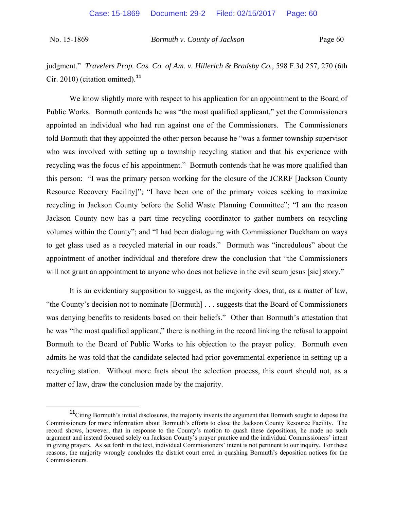judgment." *Travelers Prop. Cas. Co. of Am. v. Hillerich & Bradsby Co.*, 598 F.3d 257, 270 (6th Cir. 2010) (citation omitted).**<sup>11</sup>**

We know slightly more with respect to his application for an appointment to the Board of Public Works. Bormuth contends he was "the most qualified applicant," yet the Commissioners appointed an individual who had run against one of the Commissioners. The Commissioners told Bormuth that they appointed the other person because he "was a former township supervisor who was involved with setting up a township recycling station and that his experience with recycling was the focus of his appointment." Bormuth contends that he was more qualified than this person: "I was the primary person working for the closure of the JCRRF [Jackson County Resource Recovery Facility]"; "I have been one of the primary voices seeking to maximize recycling in Jackson County before the Solid Waste Planning Committee"; "I am the reason Jackson County now has a part time recycling coordinator to gather numbers on recycling volumes within the County"; and "I had been dialoguing with Commissioner Duckham on ways to get glass used as a recycled material in our roads." Bormuth was "incredulous" about the appointment of another individual and therefore drew the conclusion that "the Commissioners will not grant an appointment to anyone who does not believe in the evil scum jesus [sic] story."

 It is an evidentiary supposition to suggest, as the majority does, that, as a matter of law, "the County's decision not to nominate [Bormuth] . . . suggests that the Board of Commissioners was denying benefits to residents based on their beliefs." Other than Bormuth's attestation that he was "the most qualified applicant," there is nothing in the record linking the refusal to appoint Bormuth to the Board of Public Works to his objection to the prayer policy. Bormuth even admits he was told that the candidate selected had prior governmental experience in setting up a recycling station. Without more facts about the selection process, this court should not, as a matter of law, draw the conclusion made by the majority.

**<sup>11</sup>**Citing Bormuth's initial disclosures, the majority invents the argument that Bormuth sought to depose the Commissioners for more information about Bormuth's efforts to close the Jackson County Resource Facility. The record shows, however, that in response to the County's motion to quash these depositions, he made no such argument and instead focused solely on Jackson County's prayer practice and the individual Commissioners' intent in giving prayers. As set forth in the text, individual Commissioners' intent is not pertinent to our inquiry. For these reasons, the majority wrongly concludes the district court erred in quashing Bormuth's deposition notices for the Commissioners.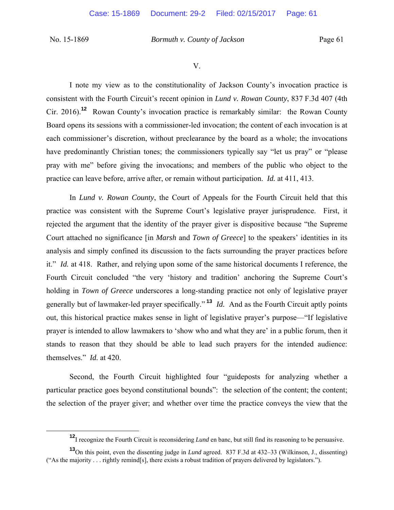V.

I note my view as to the constitutionality of Jackson County's invocation practice is consistent with the Fourth Circuit's recent opinion in *Lund v. Rowan County*, 837 F.3d 407 (4th Cir. 2016).**<sup>12</sup>** Rowan County's invocation practice is remarkably similar: the Rowan County Board opens its sessions with a commissioner-led invocation; the content of each invocation is at each commissioner's discretion, without preclearance by the board as a whole; the invocations have predominantly Christian tones; the commissioners typically say "let us pray" or "please pray with me" before giving the invocations; and members of the public who object to the practice can leave before, arrive after, or remain without participation. *Id.* at 411, 413.

In *Lund v. Rowan County*, the Court of Appeals for the Fourth Circuit held that this practice was consistent with the Supreme Court's legislative prayer jurisprudence. First, it rejected the argument that the identity of the prayer giver is dispositive because "the Supreme Court attached no significance [in *Marsh* and *Town of Greece*] to the speakers' identities in its analysis and simply confined its discussion to the facts surrounding the prayer practices before it." *Id.* at 418. Rather, and relying upon some of the same historical documents I reference, the Fourth Circuit concluded "the very 'history and tradition' anchoring the Supreme Court's holding in *Town of Greece* underscores a long-standing practice not only of legislative prayer generally but of lawmaker-led prayer specifically." **<sup>13</sup>** *Id.* And as the Fourth Circuit aptly points out, this historical practice makes sense in light of legislative prayer's purpose—"If legislative prayer is intended to allow lawmakers to 'show who and what they are' in a public forum, then it stands to reason that they should be able to lead such prayers for the intended audience: themselves." *Id.* at 420.

Second, the Fourth Circuit highlighted four "guideposts for analyzing whether a particular practice goes beyond constitutional bounds": the selection of the content; the content; the selection of the prayer giver; and whether over time the practice conveys the view that the

**<sup>12</sup>**I recognize the Fourth Circuit is reconsidering *Lund* en banc, but still find its reasoning to be persuasive.

**<sup>13</sup>**On this point, even the dissenting judge in *Lund* agreed. 837 F.3d at 432–33 (Wilkinson, J., dissenting) ("As the majority . . . rightly remind[s], there exists a robust tradition of prayers delivered by legislators.").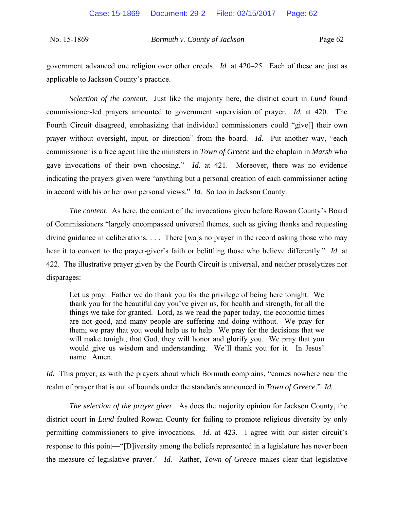government advanced one religion over other creeds. *Id.* at 420–25. Each of these are just as applicable to Jackson County's practice.

*Selection of the content.* Just like the majority here, the district court in *Lund* found commissioner-led prayers amounted to government supervision of prayer. *Id.* at 420. The Fourth Circuit disagreed, emphasizing that individual commissioners could "give[] their own prayer without oversight, input, or direction" from the board. *Id.* Put another way, "each commissioner is a free agent like the ministers in *Town of Greece* and the chaplain in *Marsh* who gave invocations of their own choosing." *Id.* at 421. Moreover, there was no evidence indicating the prayers given were "anything but a personal creation of each commissioner acting in accord with his or her own personal views." *Id.* So too in Jackson County.

*The content*. As here, the content of the invocations given before Rowan County's Board of Commissioners "largely encompassed universal themes, such as giving thanks and requesting divine guidance in deliberations. . . . There [wa]s no prayer in the record asking those who may hear it to convert to the prayer-giver's faith or belittling those who believe differently." *Id.* at 422. The illustrative prayer given by the Fourth Circuit is universal, and neither proselytizes nor disparages:

Let us pray. Father we do thank you for the privilege of being here tonight. We thank you for the beautiful day you've given us, for health and strength, for all the things we take for granted. Lord, as we read the paper today, the economic times are not good, and many people are suffering and doing without. We pray for them; we pray that you would help us to help. We pray for the decisions that we will make tonight, that God, they will honor and glorify you. We pray that you would give us wisdom and understanding. We'll thank you for it. In Jesus' name. Amen.

*Id.* This prayer, as with the prayers about which Bormuth complains, "comes nowhere near the realm of prayer that is out of bounds under the standards announced in *Town of Greece*." *Id.*

*The selection of the prayer giver*. As does the majority opinion for Jackson County, the district court in *Lund* faulted Rowan County for failing to promote religious diversity by only permitting commissioners to give invocations. *Id.* at 423. I agree with our sister circuit's response to this point—"[D]iversity among the beliefs represented in a legislature has never been the measure of legislative prayer." *Id.* Rather, *Town of Greece* makes clear that legislative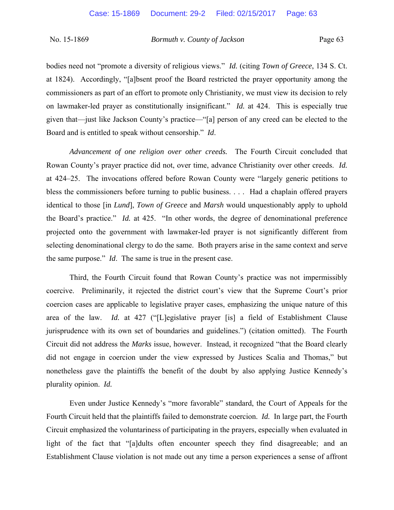bodies need not "promote a diversity of religious views." *Id.* (citing *Town of Greece*, 134 S. Ct. at 1824). Accordingly, "[a]bsent proof the Board restricted the prayer opportunity among the commissioners as part of an effort to promote only Christianity, we must view its decision to rely on lawmaker-led prayer as constitutionally insignificant." *Id.* at 424. This is especially true given that—just like Jackson County's practice—"[a] person of any creed can be elected to the Board and is entitled to speak without censorship." *Id*.

*Advancement of one religion over other creeds.* The Fourth Circuit concluded that Rowan County's prayer practice did not, over time, advance Christianity over other creeds. *Id.* at 424–25. The invocations offered before Rowan County were "largely generic petitions to bless the commissioners before turning to public business. . . . Had a chaplain offered prayers identical to those [in *Lund*], *Town of Greece* and *Marsh* would unquestionably apply to uphold the Board's practice." *Id.* at 425. "In other words, the degree of denominational preference projected onto the government with lawmaker-led prayer is not significantly different from selecting denominational clergy to do the same. Both prayers arise in the same context and serve the same purpose." *Id*. The same is true in the present case.

 Third, the Fourth Circuit found that Rowan County's practice was not impermissibly coercive. Preliminarily, it rejected the district court's view that the Supreme Court's prior coercion cases are applicable to legislative prayer cases, emphasizing the unique nature of this area of the law. *Id.* at 427 ("[L]egislative prayer [is] a field of Establishment Clause jurisprudence with its own set of boundaries and guidelines.") (citation omitted). The Fourth Circuit did not address the *Marks* issue, however. Instead, it recognized "that the Board clearly did not engage in coercion under the view expressed by Justices Scalia and Thomas," but nonetheless gave the plaintiffs the benefit of the doubt by also applying Justice Kennedy's plurality opinion. *Id.*

Even under Justice Kennedy's "more favorable" standard, the Court of Appeals for the Fourth Circuit held that the plaintiffs failed to demonstrate coercion. *Id.* In large part, the Fourth Circuit emphasized the voluntariness of participating in the prayers, especially when evaluated in light of the fact that "[a]dults often encounter speech they find disagreeable; and an Establishment Clause violation is not made out any time a person experiences a sense of affront